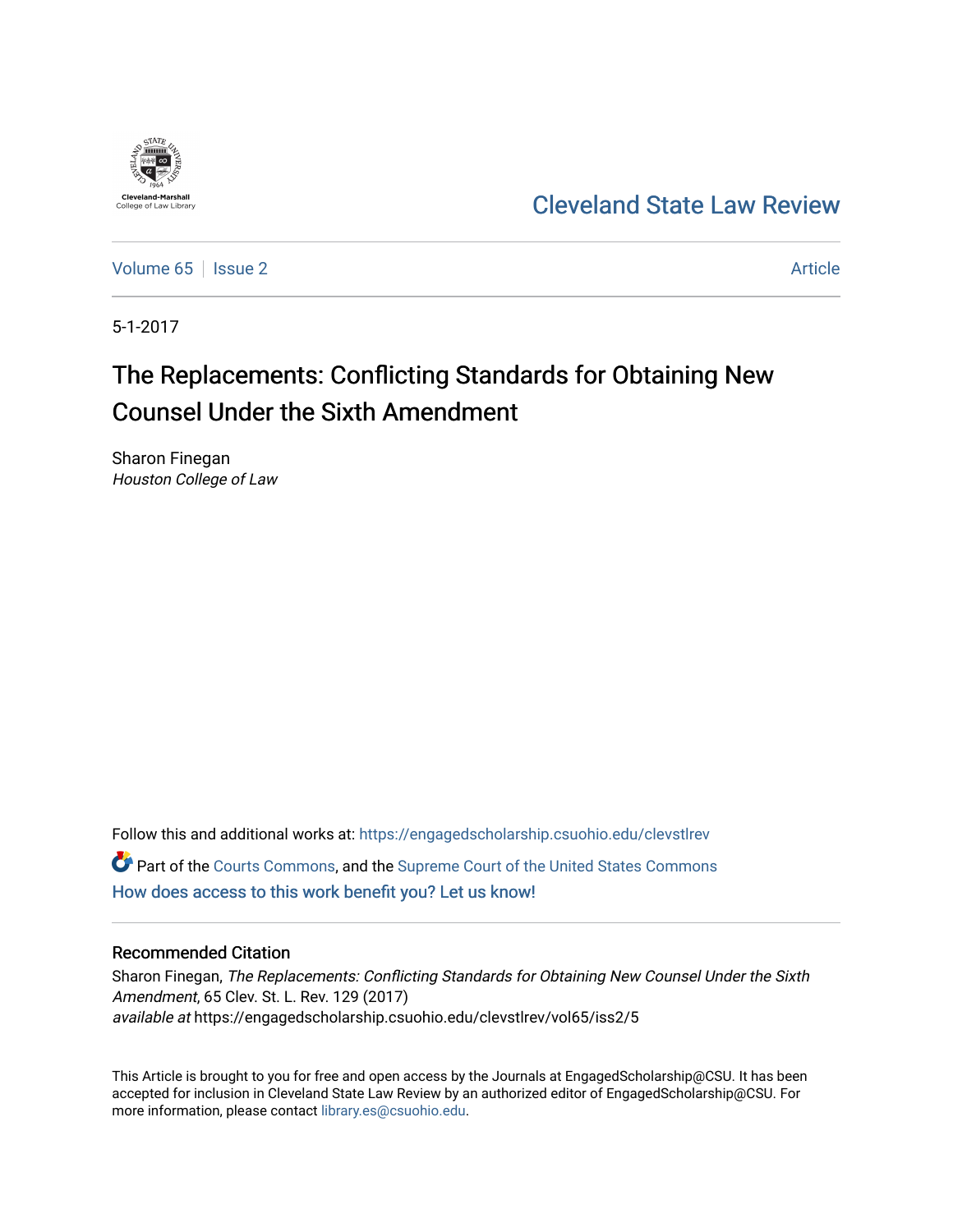

## [Cleveland State Law Review](https://engagedscholarship.csuohio.edu/clevstlrev)

[Volume 65](https://engagedscholarship.csuohio.edu/clevstlrev/vol65) | [Issue 2](https://engagedscholarship.csuohio.edu/clevstlrev/vol65/iss2) Article

5-1-2017

# The Replacements: Conflicting Standards for Obtaining New Counsel Under the Sixth Amendment

Sharon Finegan Houston College of Law

Follow this and additional works at: [https://engagedscholarship.csuohio.edu/clevstlrev](https://engagedscholarship.csuohio.edu/clevstlrev?utm_source=engagedscholarship.csuohio.edu%2Fclevstlrev%2Fvol65%2Fiss2%2F5&utm_medium=PDF&utm_campaign=PDFCoverPages) Part of the [Courts Commons,](http://network.bepress.com/hgg/discipline/839?utm_source=engagedscholarship.csuohio.edu%2Fclevstlrev%2Fvol65%2Fiss2%2F5&utm_medium=PDF&utm_campaign=PDFCoverPages) and the [Supreme Court of the United States Commons](http://network.bepress.com/hgg/discipline/1350?utm_source=engagedscholarship.csuohio.edu%2Fclevstlrev%2Fvol65%2Fiss2%2F5&utm_medium=PDF&utm_campaign=PDFCoverPages) [How does access to this work benefit you? Let us know!](http://library.csuohio.edu/engaged/)

#### Recommended Citation

Sharon Finegan, The Replacements: Conflicting Standards for Obtaining New Counsel Under the Sixth Amendment, 65 Clev. St. L. Rev. 129 (2017) available at https://engagedscholarship.csuohio.edu/clevstlrev/vol65/iss2/5

This Article is brought to you for free and open access by the Journals at EngagedScholarship@CSU. It has been accepted for inclusion in Cleveland State Law Review by an authorized editor of EngagedScholarship@CSU. For more information, please contact [library.es@csuohio.edu](mailto:library.es@csuohio.edu).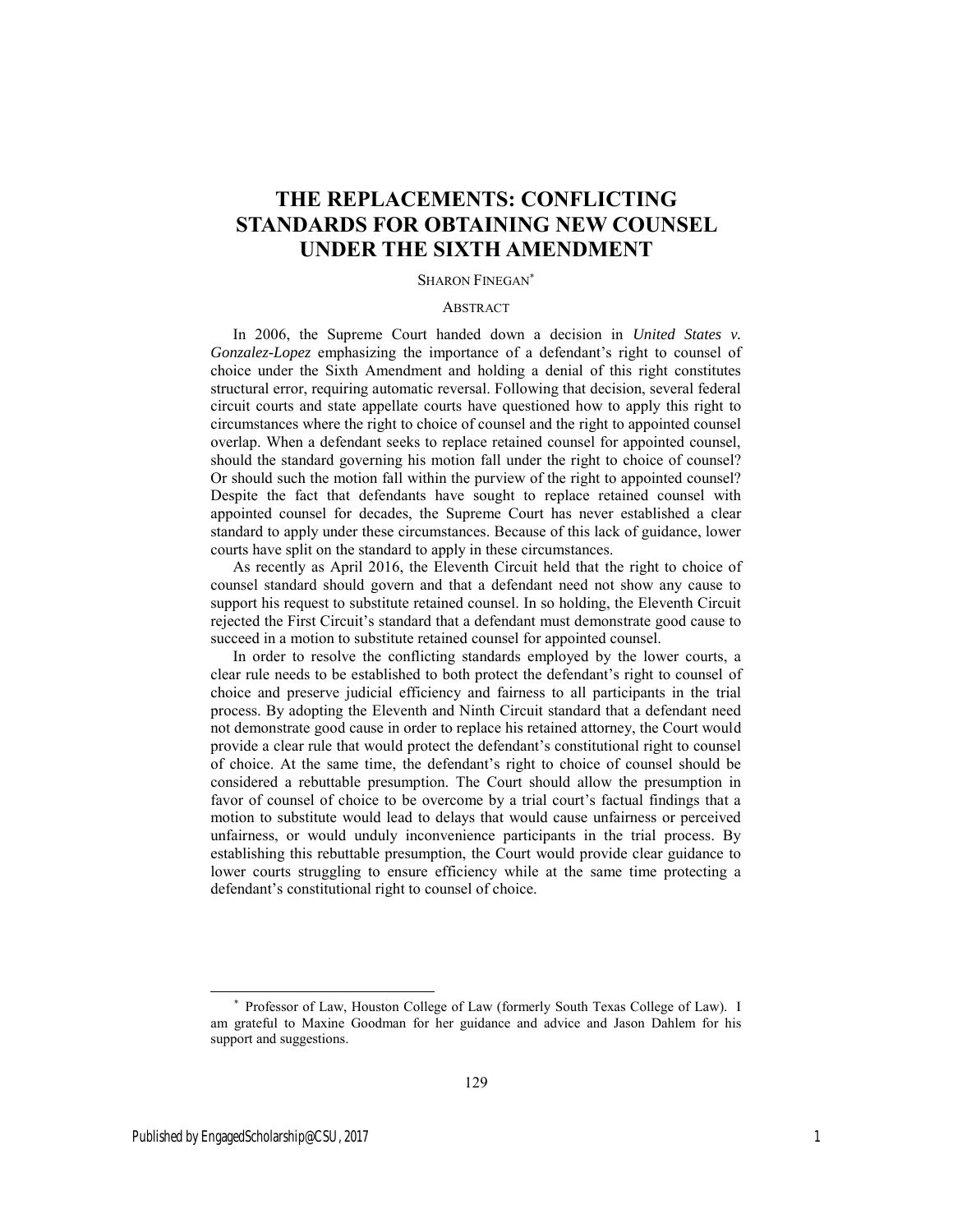### **THE REPLACEMENTS: CONFLICTING STANDARDS FOR OBTAINING NEW COUNSEL UNDER THE SIXTH AMENDMENT**

#### SHARON FINEGAN\*

#### ABSTRACT

In 2006, the Supreme Court handed down a decision in *United States v. Gonzalez-Lopez* emphasizing the importance of a defendant's right to counsel of choice under the Sixth Amendment and holding a denial of this right constitutes structural error, requiring automatic reversal. Following that decision, several federal circuit courts and state appellate courts have questioned how to apply this right to circumstances where the right to choice of counsel and the right to appointed counsel overlap. When a defendant seeks to replace retained counsel for appointed counsel, should the standard governing his motion fall under the right to choice of counsel? Or should such the motion fall within the purview of the right to appointed counsel? Despite the fact that defendants have sought to replace retained counsel with appointed counsel for decades, the Supreme Court has never established a clear standard to apply under these circumstances. Because of this lack of guidance, lower courts have split on the standard to apply in these circumstances.

As recently as April 2016, the Eleventh Circuit held that the right to choice of counsel standard should govern and that a defendant need not show any cause to support his request to substitute retained counsel. In so holding, the Eleventh Circuit rejected the First Circuit's standard that a defendant must demonstrate good cause to succeed in a motion to substitute retained counsel for appointed counsel.

In order to resolve the conflicting standards employed by the lower courts, a clear rule needs to be established to both protect the defendant's right to counsel of choice and preserve judicial efficiency and fairness to all participants in the trial process. By adopting the Eleventh and Ninth Circuit standard that a defendant need not demonstrate good cause in order to replace his retained attorney, the Court would provide a clear rule that would protect the defendant's constitutional right to counsel of choice. At the same time, the defendant's right to choice of counsel should be considered a rebuttable presumption. The Court should allow the presumption in favor of counsel of choice to be overcome by a trial court's factual findings that a motion to substitute would lead to delays that would cause unfairness or perceived unfairness, or would unduly inconvenience participants in the trial process. By establishing this rebuttable presumption, the Court would provide clear guidance to lower courts struggling to ensure efficiency while at the same time protecting a defendant's constitutional right to counsel of choice.

 $\overline{a}$ 

<sup>\*</sup> Professor of Law, Houston College of Law (formerly South Texas College of Law). I am grateful to Maxine Goodman for her guidance and advice and Jason Dahlem for his support and suggestions.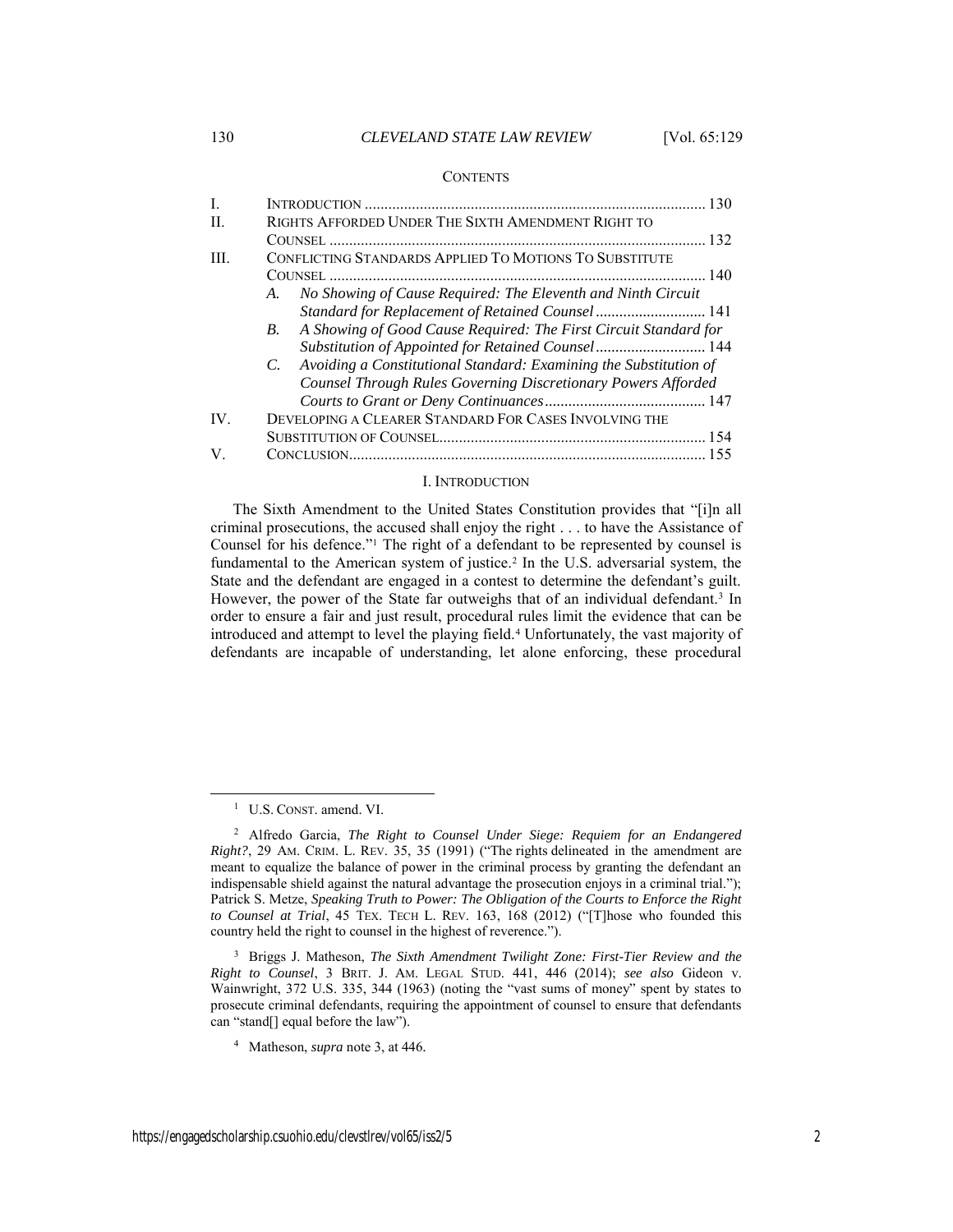#### **CONTENTS**

| $\mathbf{I}$ . | 130                                                                              |
|----------------|----------------------------------------------------------------------------------|
| H.             | RIGHTS AFFORDED UNDER THE SIXTH AMENDMENT RIGHT TO                               |
|                |                                                                                  |
| Ш              | CONFLICTING STANDARDS APPLIED TO MOTIONS TO SUBSTITUTE                           |
|                |                                                                                  |
|                | No Showing of Cause Required: The Eleventh and Ninth Circuit<br>A.               |
|                | Standard for Replacement of Retained Counsel 141                                 |
|                | A Showing of Good Cause Required: The First Circuit Standard for<br>B.           |
|                | Substitution of Appointed for Retained Counsel 144                               |
|                | Avoiding a Constitutional Standard: Examining the Substitution of<br>$C_{\cdot}$ |
|                | Counsel Through Rules Governing Discretionary Powers Afforded                    |
|                |                                                                                  |
| IV             | DEVELOPING A CLEARER STANDARD FOR CASES INVOLVING THE                            |
|                |                                                                                  |
| V              |                                                                                  |

#### I. INTRODUCTION

The Sixth Amendment to the United States Constitution provides that "[i]n all criminal prosecutions, the accused shall enjoy the right . . . to have the Assistance of Counsel for his defence."<sup>1</sup> The right of a defendant to be represented by counsel is fundamental to the American system of justice.<sup>2</sup> In the U.S. adversarial system, the State and the defendant are engaged in a contest to determine the defendant's guilt. However, the power of the State far outweighs that of an individual defendant.<sup>3</sup> In order to ensure a fair and just result, procedural rules limit the evidence that can be introduced and attempt to level the playing field.<sup>4</sup> Unfortunately, the vast majority of defendants are incapable of understanding, let alone enforcing, these procedural

 $\overline{a}$ 

<sup>3</sup> Briggs J. Matheson, *The Sixth Amendment Twilight Zone: First-Tier Review and the Right to Counsel*, 3 BRIT. J. AM. LEGAL STUD. 441, 446 (2014); *see also* Gideon v. Wainwright, 372 U.S. 335, 344 (1963) (noting the "vast sums of money" spent by states to prosecute criminal defendants, requiring the appointment of counsel to ensure that defendants can "stand[] equal before the law").

<sup>1</sup> U.S. CONST. amend. VI.

<sup>2</sup> Alfredo Garcia, *The Right to Counsel Under Siege: Requiem for an Endangered Right?*, 29 AM. CRIM. L. REV. 35, 35 (1991) ("The rights delineated in the amendment are meant to equalize the balance of power in the criminal process by granting the defendant an indispensable shield against the natural advantage the prosecution enjoys in a criminal trial."); Patrick S. Metze, *Speaking Truth to Power: The Obligation of the Courts to Enforce the Right to Counsel at Trial*, 45 TEX. TECH L. REV. 163, 168 (2012) ("[T]hose who founded this country held the right to counsel in the highest of reverence.").

<sup>4</sup> Matheson, *supra* note 3, at 446*.*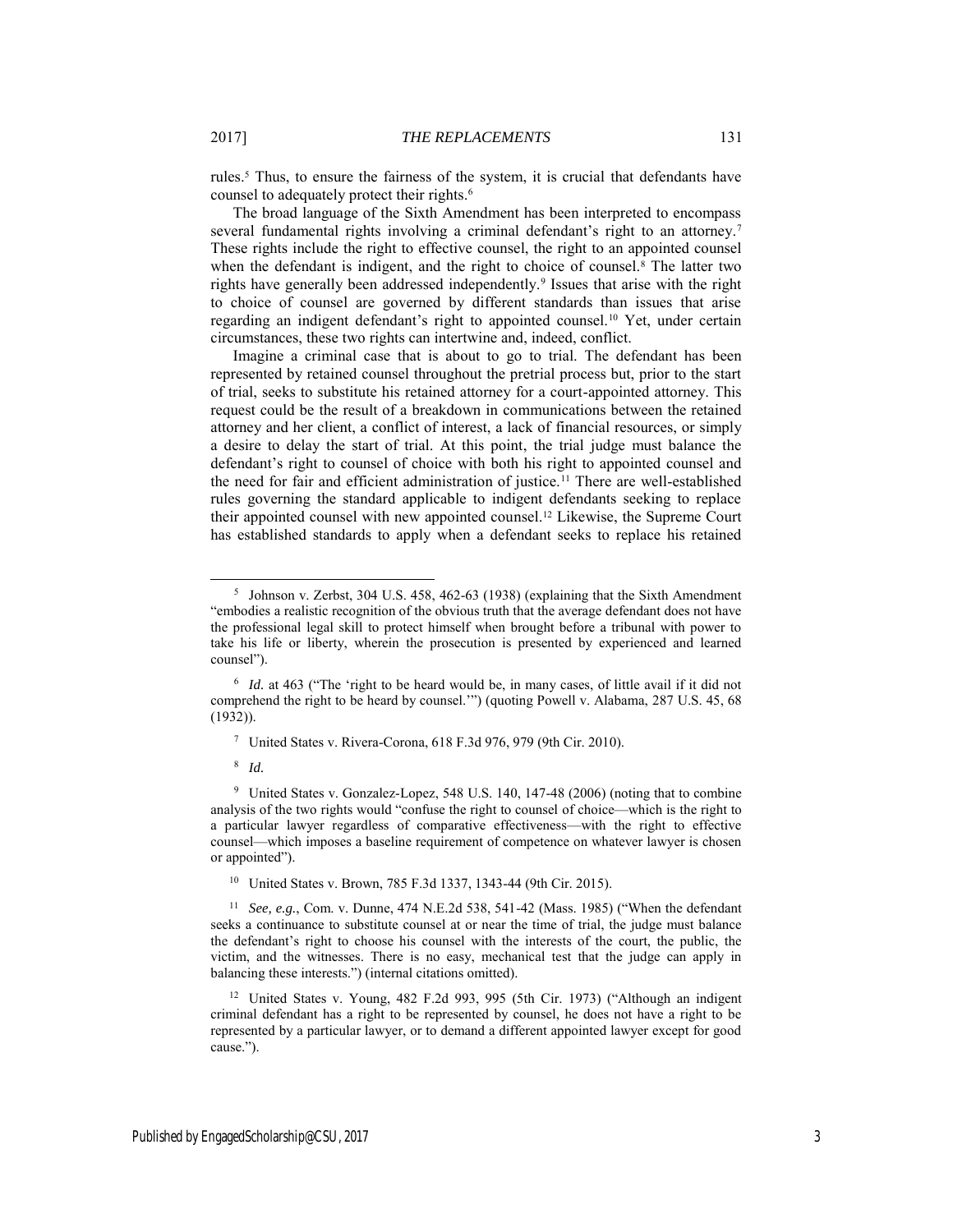rules.<sup>5</sup> Thus, to ensure the fairness of the system, it is crucial that defendants have counsel to adequately protect their rights. 6

The broad language of the Sixth Amendment has been interpreted to encompass several fundamental rights involving a criminal defendant's right to an attorney.<sup>7</sup> These rights include the right to effective counsel, the right to an appointed counsel when the defendant is indigent, and the right to choice of counsel.<sup>8</sup> The latter two rights have generally been addressed independently.<sup>9</sup> Issues that arise with the right to choice of counsel are governed by different standards than issues that arise regarding an indigent defendant's right to appointed counsel.<sup>10</sup> Yet, under certain circumstances, these two rights can intertwine and, indeed, conflict.

Imagine a criminal case that is about to go to trial. The defendant has been represented by retained counsel throughout the pretrial process but, prior to the start of trial, seeks to substitute his retained attorney for a court-appointed attorney. This request could be the result of a breakdown in communications between the retained attorney and her client, a conflict of interest, a lack of financial resources, or simply a desire to delay the start of trial. At this point, the trial judge must balance the defendant's right to counsel of choice with both his right to appointed counsel and the need for fair and efficient administration of justice.<sup>11</sup> There are well-established rules governing the standard applicable to indigent defendants seeking to replace their appointed counsel with new appointed counsel.<sup>12</sup> Likewise, the Supreme Court has established standards to apply when a defendant seeks to replace his retained

 $\overline{a}$ 

<sup>10</sup> United States v. Brown, 785 F.3d 1337, 1343-44 (9th Cir. 2015).

<sup>11</sup> *See, e.g.*, Com. v. Dunne, 474 N.E.2d 538, 541-42 (Mass. 1985) ("When the defendant seeks a continuance to substitute counsel at or near the time of trial, the judge must balance the defendant's right to choose his counsel with the interests of the court, the public, the victim, and the witnesses. There is no easy, mechanical test that the judge can apply in balancing these interests.") (internal citations omitted).

<sup>&</sup>lt;sup>5</sup> Johnson v. Zerbst, 304 U.S. 458, 462-63 (1938) (explaining that the Sixth Amendment "embodies a realistic recognition of the obvious truth that the average defendant does not have the professional legal skill to protect himself when brought before a tribunal with power to take his life or liberty, wherein the prosecution is presented by experienced and learned counsel").

<sup>&</sup>lt;sup>6</sup> *Id.* at 463 ("The 'right to be heard would be, in many cases, of little avail if it did not comprehend the right to be heard by counsel.'") (quoting Powell v. Alabama, 287 U.S. 45, 68 (1932)).

<sup>7</sup> United States v. Rivera-Corona, 618 F.3d 976, 979 (9th Cir. 2010).

<sup>8</sup> *Id.*

<sup>9</sup> United States v. Gonzalez-Lopez, 548 U.S. 140, 147-48 (2006) (noting that to combine analysis of the two rights would "confuse the right to counsel of choice—which is the right to a particular lawyer regardless of comparative effectiveness—with the right to effective counsel—which imposes a baseline requirement of competence on whatever lawyer is chosen or appointed").

<sup>12</sup> United States v. Young, 482 F.2d 993, 995 (5th Cir. 1973) ("Although an indigent criminal defendant has a right to be represented by counsel, he does not have a right to be represented by a particular lawyer, or to demand a different appointed lawyer except for good cause.").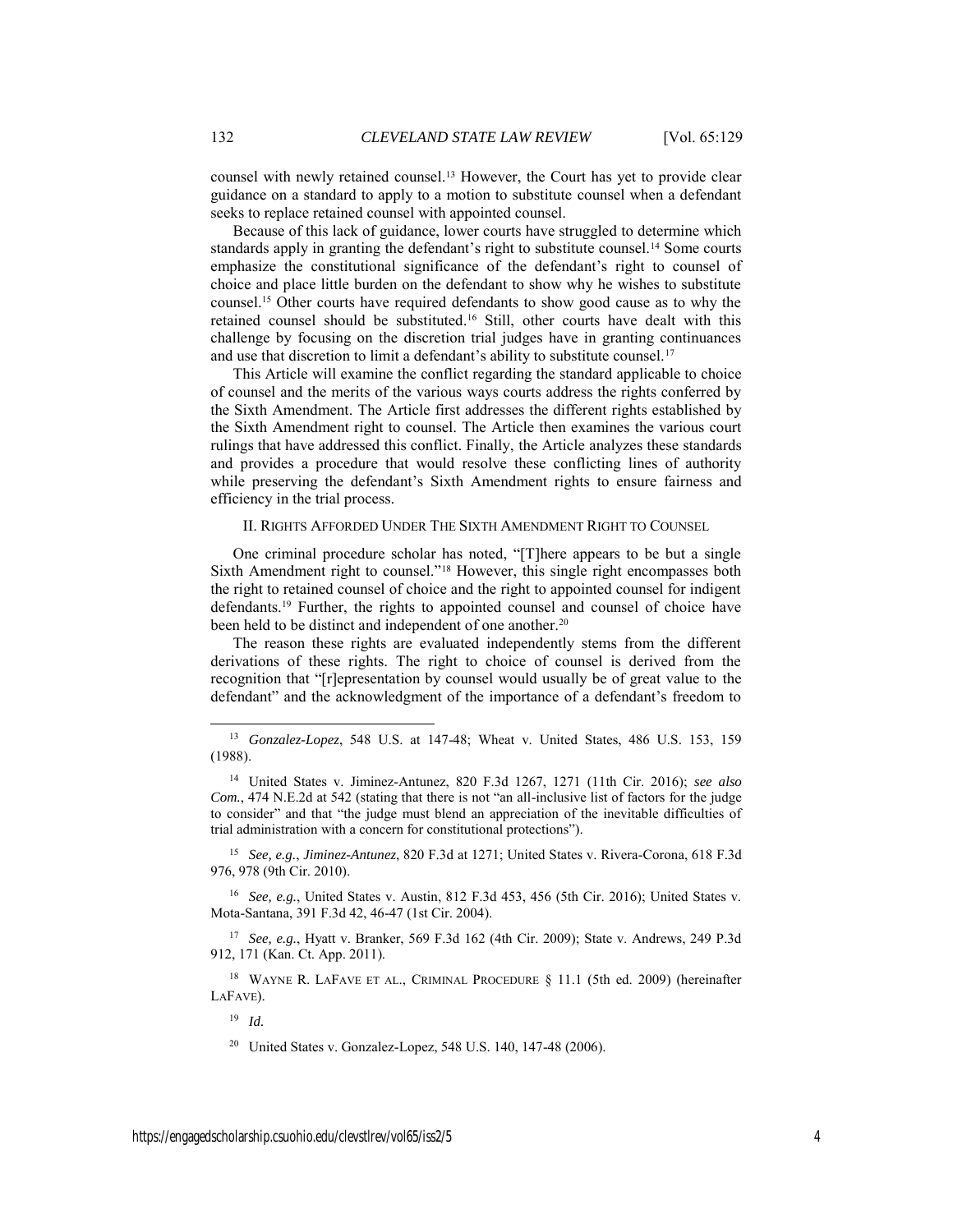counsel with newly retained counsel.<sup>13</sup> However, the Court has yet to provide clear guidance on a standard to apply to a motion to substitute counsel when a defendant seeks to replace retained counsel with appointed counsel.

Because of this lack of guidance, lower courts have struggled to determine which standards apply in granting the defendant's right to substitute counsel.<sup>14</sup> Some courts emphasize the constitutional significance of the defendant's right to counsel of choice and place little burden on the defendant to show why he wishes to substitute counsel.<sup>15</sup> Other courts have required defendants to show good cause as to why the retained counsel should be substituted.<sup>16</sup> Still, other courts have dealt with this challenge by focusing on the discretion trial judges have in granting continuances and use that discretion to limit a defendant's ability to substitute counsel.<sup>17</sup>

This Article will examine the conflict regarding the standard applicable to choice of counsel and the merits of the various ways courts address the rights conferred by the Sixth Amendment. The Article first addresses the different rights established by the Sixth Amendment right to counsel. The Article then examines the various court rulings that have addressed this conflict. Finally, the Article analyzes these standards and provides a procedure that would resolve these conflicting lines of authority while preserving the defendant's Sixth Amendment rights to ensure fairness and efficiency in the trial process.

#### II. RIGHTS AFFORDED UNDER THE SIXTH AMENDMENT RIGHT TO COUNSEL

One criminal procedure scholar has noted, "[T]here appears to be but a single Sixth Amendment right to counsel."<sup>18</sup> However, this single right encompasses both the right to retained counsel of choice and the right to appointed counsel for indigent defendants.<sup>19</sup> Further, the rights to appointed counsel and counsel of choice have been held to be distinct and independent of one another.<sup>20</sup>

The reason these rights are evaluated independently stems from the different derivations of these rights. The right to choice of counsel is derived from the recognition that "[r]epresentation by counsel would usually be of great value to the defendant" and the acknowledgment of the importance of a defendant's freedom to

<sup>15</sup> *See, e.g.*, *Jiminez-Antunez*, 820 F.3d at 1271; United States v. Rivera-Corona, 618 F.3d 976, 978 (9th Cir. 2010).

<sup>16</sup> *See, e.g.*, United States v. Austin, 812 F.3d 453, 456 (5th Cir. 2016); United States v. Mota-Santana, 391 F.3d 42, 46-47 (1st Cir. 2004).

<sup>17</sup> *See, e.g.*, Hyatt v. Branker, 569 F.3d 162 (4th Cir. 2009); State v. Andrews, 249 P.3d 912, 171 (Kan. Ct. App. 2011).

<sup>18</sup> WAYNE R. LAFAVE ET AL., CRIMINAL PROCEDURE § 11.1 (5th ed. 2009) (hereinafter LAFAVE).

<sup>19</sup> *Id.*

 $\overline{a}$ 

<sup>20</sup> United States v. Gonzalez-Lopez, 548 U.S. 140, 147-48 (2006).

<sup>13</sup> *Gonzalez-Lopez*, 548 U.S. at 147-48; Wheat v. United States, 486 U.S. 153, 159 (1988).

<sup>14</sup> United States v. Jiminez-Antunez, 820 F.3d 1267, 1271 (11th Cir. 2016); *see also Com.*, 474 N.E.2d at 542 (stating that there is not "an all-inclusive list of factors for the judge to consider" and that "the judge must blend an appreciation of the inevitable difficulties of trial administration with a concern for constitutional protections").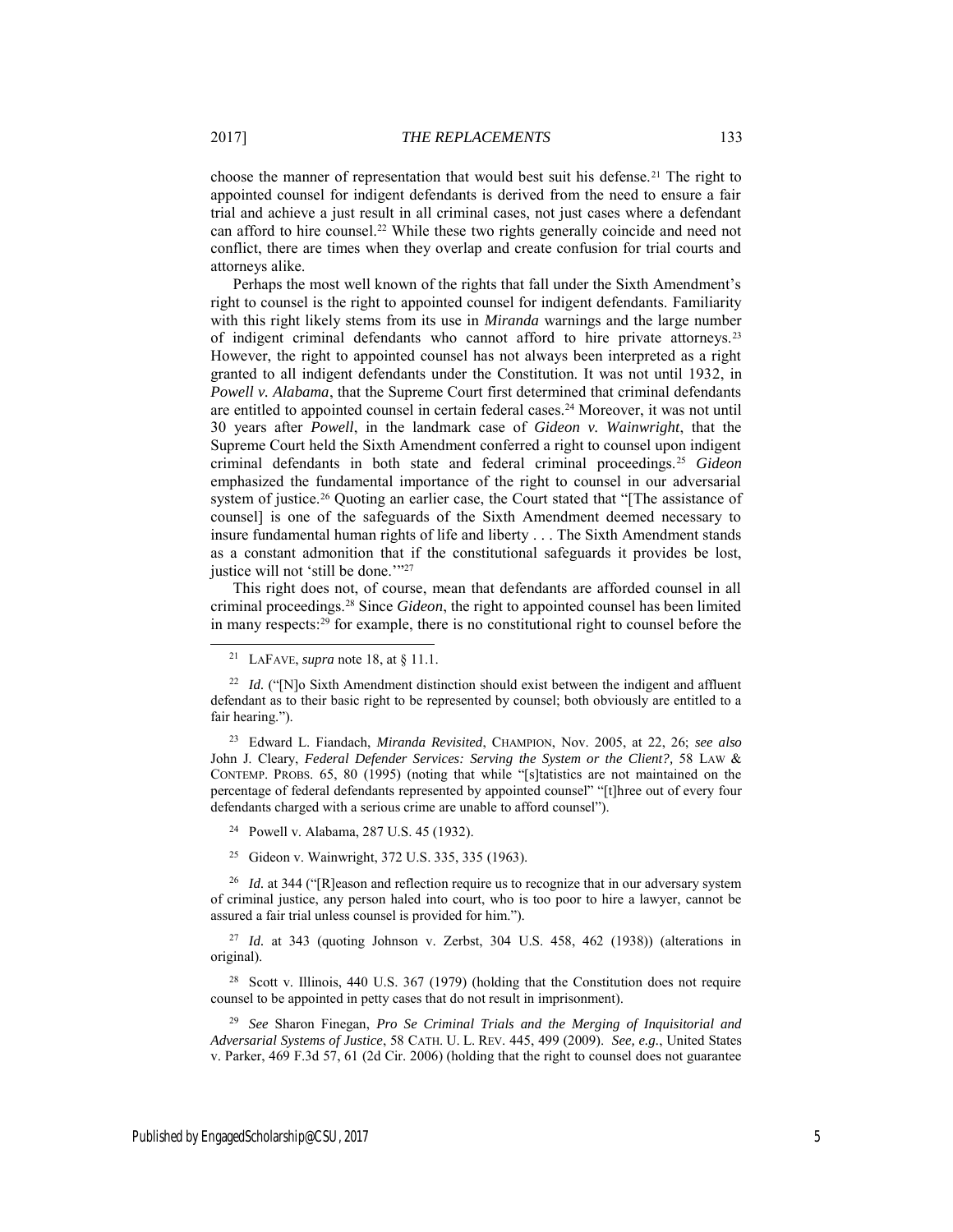$\overline{a}$ 

choose the manner of representation that would best suit his defense.<sup>21</sup> The right to appointed counsel for indigent defendants is derived from the need to ensure a fair trial and achieve a just result in all criminal cases, not just cases where a defendant can afford to hire counsel.<sup>22</sup> While these two rights generally coincide and need not conflict, there are times when they overlap and create confusion for trial courts and attorneys alike.

Perhaps the most well known of the rights that fall under the Sixth Amendment's right to counsel is the right to appointed counsel for indigent defendants. Familiarity with this right likely stems from its use in *Miranda* warnings and the large number of indigent criminal defendants who cannot afford to hire private attorneys.<sup>23</sup> However, the right to appointed counsel has not always been interpreted as a right granted to all indigent defendants under the Constitution. It was not until 1932, in *Powell v. Alabama*, that the Supreme Court first determined that criminal defendants are entitled to appointed counsel in certain federal cases.<sup>24</sup> Moreover, it was not until 30 years after *Powell*, in the landmark case of *Gideon v. Wainwright*, that the Supreme Court held the Sixth Amendment conferred a right to counsel upon indigent criminal defendants in both state and federal criminal proceedings.<sup>25</sup> *Gideon* emphasized the fundamental importance of the right to counsel in our adversarial system of justice.<sup>26</sup> Quoting an earlier case, the Court stated that "[The assistance of counsel] is one of the safeguards of the Sixth Amendment deemed necessary to insure fundamental human rights of life and liberty . . . The Sixth Amendment stands as a constant admonition that if the constitutional safeguards it provides be lost, justice will not 'still be done.'" 27

This right does not, of course, mean that defendants are afforded counsel in all criminal proceedings.<sup>28</sup> Since *Gideon*, the right to appointed counsel has been limited in many respects: <sup>29</sup> for example, there is no constitutional right to counsel before the

<sup>22</sup> *Id.* ("[N]o Sixth Amendment distinction should exist between the indigent and affluent defendant as to their basic right to be represented by counsel; both obviously are entitled to a fair hearing.").

<sup>23</sup> Edward L. Fiandach, *Miranda Revisited*, CHAMPION, Nov. 2005, at 22, 26; *see also* John J. Cleary, *Federal Defender Services: Serving the System or the Client?,* 58 LAW & CONTEMP. PROBS. 65, 80 (1995) (noting that while "[s]tatistics are not maintained on the percentage of federal defendants represented by appointed counsel" "[t]hree out of every four defendants charged with a serious crime are unable to afford counsel").

- <sup>24</sup> Powell v. Alabama, 287 U.S. 45 (1932).
- <sup>25</sup> Gideon v. Wainwright, 372 U.S. 335, 335 (1963).

<sup>26</sup> *Id.* at 344 ("[R]eason and reflection require us to recognize that in our adversary system of criminal justice, any person haled into court, who is too poor to hire a lawyer, cannot be assured a fair trial unless counsel is provided for him.").

<sup>27</sup> *Id.* at 343 (quoting Johnson v. Zerbst, 304 U.S. 458, 462 (1938)) (alterations in original).

<sup>28</sup> Scott v. Illinois, 440 U.S. 367 (1979) (holding that the Constitution does not require counsel to be appointed in petty cases that do not result in imprisonment).

<sup>29</sup> *See* Sharon Finegan, *Pro Se Criminal Trials and the Merging of Inquisitorial and Adversarial Systems of Justice*, 58 CATH. U. L. REV. 445, 499 (2009). *See, e.g.*, United States v. Parker, 469 F.3d 57, 61 (2d Cir. 2006) (holding that the right to counsel does not guarantee

<sup>21</sup> LAFAVE, *supra* note 18, at § 11.1.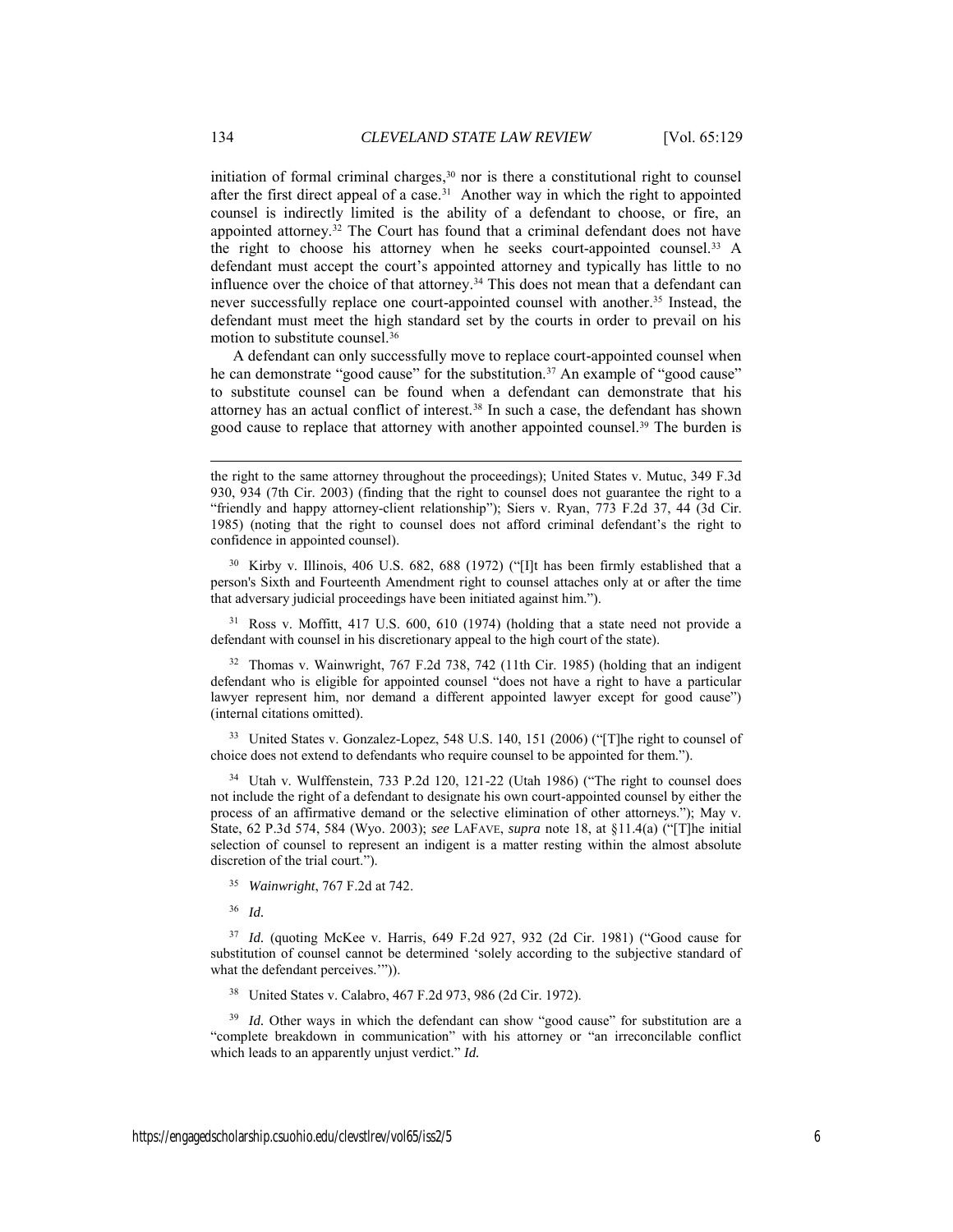initiation of formal criminal charges, <sup>30</sup> nor is there a constitutional right to counsel after the first direct appeal of a case.<sup>31</sup> Another way in which the right to appointed counsel is indirectly limited is the ability of a defendant to choose, or fire, an appointed attorney.<sup>32</sup> The Court has found that a criminal defendant does not have the right to choose his attorney when he seeks court-appointed counsel.<sup>33</sup> A defendant must accept the court's appointed attorney and typically has little to no influence over the choice of that attorney.<sup>34</sup> This does not mean that a defendant can never successfully replace one court-appointed counsel with another.<sup>35</sup> Instead, the defendant must meet the high standard set by the courts in order to prevail on his motion to substitute counsel.<sup>36</sup>

A defendant can only successfully move to replace court-appointed counsel when he can demonstrate "good cause" for the substitution.<sup>37</sup> An example of "good cause" to substitute counsel can be found when a defendant can demonstrate that his attorney has an actual conflict of interest.<sup>38</sup> In such a case, the defendant has shown good cause to replace that attorney with another appointed counsel.<sup>39</sup> The burden is

<sup>30</sup> Kirby v. Illinois, 406 U.S. 682, 688 (1972) ("[I]t has been firmly established that a person's Sixth and Fourteenth Amendment right to counsel attaches only at or after the time that adversary judicial proceedings have been initiated against him.").

<sup>31</sup> Ross v. Moffitt, 417 U.S. 600, 610 (1974) (holding that a state need not provide a defendant with counsel in his discretionary appeal to the high court of the state).

<sup>32</sup> Thomas v. Wainwright, 767 F.2d 738, 742 (11th Cir. 1985) (holding that an indigent defendant who is eligible for appointed counsel "does not have a right to have a particular lawyer represent him, nor demand a different appointed lawyer except for good cause") (internal citations omitted).

<sup>33</sup> United States v. Gonzalez-Lopez, 548 U.S. 140, 151 (2006) ("The right to counsel of choice does not extend to defendants who require counsel to be appointed for them.").

<sup>34</sup> Utah v. Wulffenstein, 733 P.2d 120, 121-22 (Utah 1986) ("The right to counsel does not include the right of a defendant to designate his own court-appointed counsel by either the process of an affirmative demand or the selective elimination of other attorneys."); May v. State, 62 P.3d 574, 584 (Wyo. 2003); *see* LAFAVE, *supra* note 18, at §11.4(a) ("[T]he initial selection of counsel to represent an indigent is a matter resting within the almost absolute discretion of the trial court.").

<sup>35</sup> *Wainwright*, 767 F.2d at 742.

<sup>36</sup> *Id.*

<sup>37</sup> *Id.* (quoting McKee v. Harris, 649 F.2d 927, 932 (2d Cir. 1981) ("Good cause for substitution of counsel cannot be determined 'solely according to the subjective standard of what the defendant perceives.'")).

<sup>38</sup> United States v. Calabro, 467 F.2d 973, 986 (2d Cir. 1972).

<sup>39</sup> *Id.* Other ways in which the defendant can show "good cause" for substitution are a "complete breakdown in communication" with his attorney or "an irreconcilable conflict which leads to an apparently unjust verdict." *Id.*

 $\overline{a}$ 

the right to the same attorney throughout the proceedings); United States v. Mutuc, 349 F.3d 930, 934 (7th Cir. 2003) (finding that the right to counsel does not guarantee the right to a "friendly and happy attorney-client relationship"); Siers v. Ryan, 773 F.2d 37, 44 (3d Cir. 1985) (noting that the right to counsel does not afford criminal defendant's the right to confidence in appointed counsel).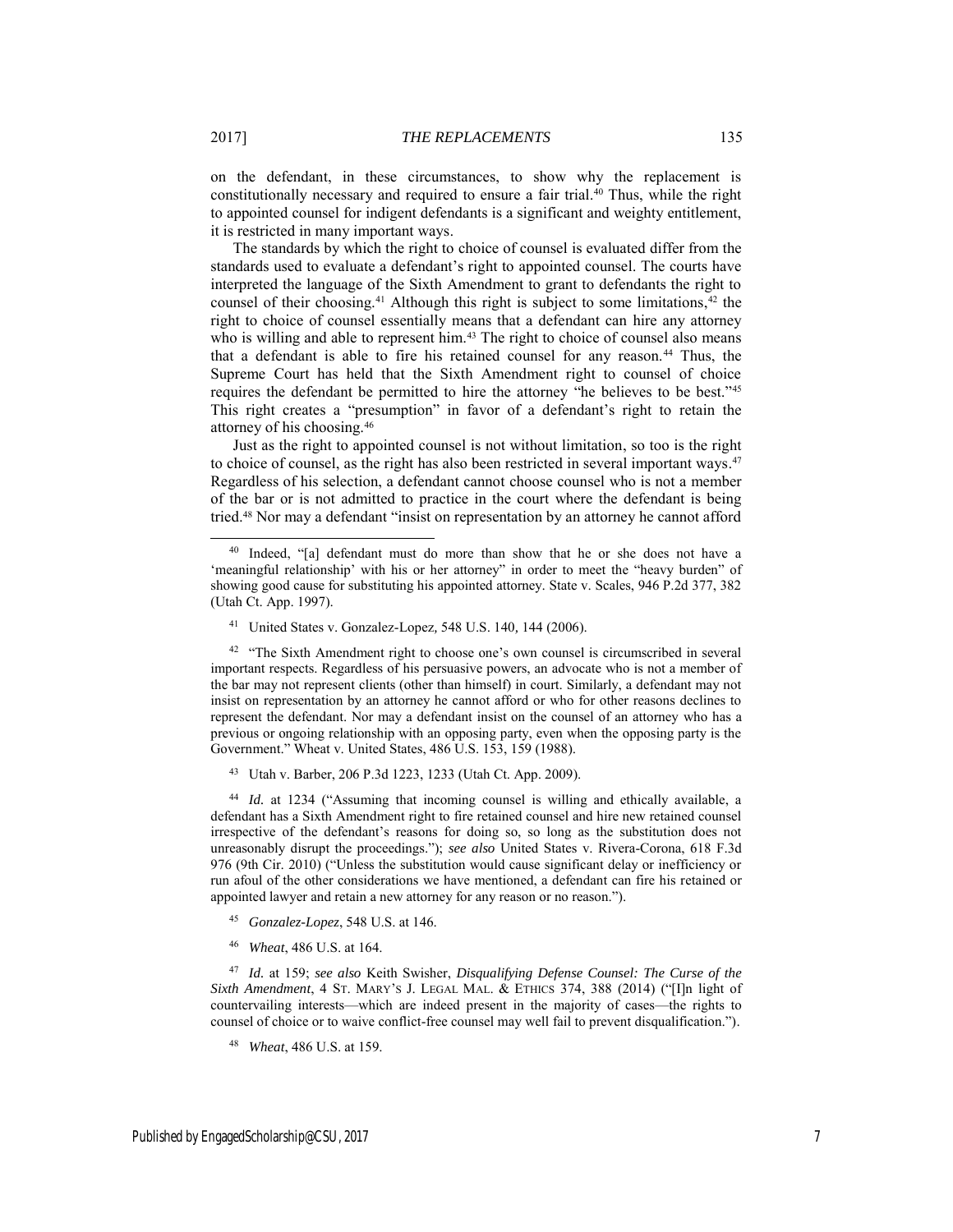on the defendant, in these circumstances, to show why the replacement is constitutionally necessary and required to ensure a fair trial.<sup>40</sup> Thus, while the right to appointed counsel for indigent defendants is a significant and weighty entitlement, it is restricted in many important ways.

The standards by which the right to choice of counsel is evaluated differ from the standards used to evaluate a defendant's right to appointed counsel. The courts have interpreted the language of the Sixth Amendment to grant to defendants the right to counsel of their choosing.<sup>41</sup> Although this right is subject to some limitations, <sup>42</sup> the right to choice of counsel essentially means that a defendant can hire any attorney who is willing and able to represent him.<sup>43</sup> The right to choice of counsel also means that a defendant is able to fire his retained counsel for any reason.<sup>44</sup> Thus, the Supreme Court has held that the Sixth Amendment right to counsel of choice requires the defendant be permitted to hire the attorney "he believes to be best."<sup>45</sup> This right creates a "presumption" in favor of a defendant's right to retain the attorney of his choosing.<sup>46</sup>

Just as the right to appointed counsel is not without limitation, so too is the right to choice of counsel, as the right has also been restricted in several important ways. 47 Regardless of his selection, a defendant cannot choose counsel who is not a member of the bar or is not admitted to practice in the court where the defendant is being tried.<sup>48</sup> Nor may a defendant "insist on representation by an attorney he cannot afford

<sup>41</sup> United States v. Gonzalez-Lopez*,* 548 U.S. 140*,* 144 (2006).

<sup>42</sup> "The Sixth Amendment right to choose one's own counsel is circumscribed in several important respects. Regardless of his persuasive powers, an advocate who is not a member of the bar may not represent clients (other than himself) in court. Similarly, a defendant may not insist on representation by an attorney he cannot afford or who for other reasons declines to represent the defendant. Nor may a defendant insist on the counsel of an attorney who has a previous or ongoing relationship with an opposing party, even when the opposing party is the Government." Wheat v. United States, 486 U.S. 153, 159 (1988).

<sup>43</sup> Utah v. Barber, 206 P.3d 1223, 1233 (Utah Ct. App. 2009).

<sup>44</sup> *Id.* at 1234 ("Assuming that incoming counsel is willing and ethically available, a defendant has a Sixth Amendment right to fire retained counsel and hire new retained counsel irrespective of the defendant's reasons for doing so, so long as the substitution does not unreasonably disrupt the proceedings."); *see also* United States v. Rivera-Corona, 618 F.3d 976 (9th Cir. 2010) ("Unless the substitution would cause significant delay or inefficiency or run afoul of the other considerations we have mentioned, a defendant can fire his retained or appointed lawyer and retain a new attorney for any reason or no reason.").

- <sup>45</sup> *Gonzalez-Lopez*, 548 U.S. at 146.
- <sup>46</sup> *Wheat*, 486 U.S. at 164.

<sup>47</sup> *Id.* at 159; *see also* Keith Swisher, *Disqualifying Defense Counsel: The Curse of the Sixth Amendment*, 4 ST. MARY'S J. LEGAL MAL. & ETHICS 374, 388 (2014) ("[I]n light of countervailing interests—which are indeed present in the majority of cases—the rights to counsel of choice or to waive conflict-free counsel may well fail to prevent disqualification.").

<sup>48</sup> *Wheat*, 486 U.S. at 159.

 $\overline{a}$ 

<sup>40</sup> Indeed, "[a] defendant must do more than show that he or she does not have a 'meaningful relationship' with his or her attorney" in order to meet the "heavy burden" of showing good cause for substituting his appointed attorney. State v. Scales, 946 P.2d 377, 382 (Utah Ct. App. 1997).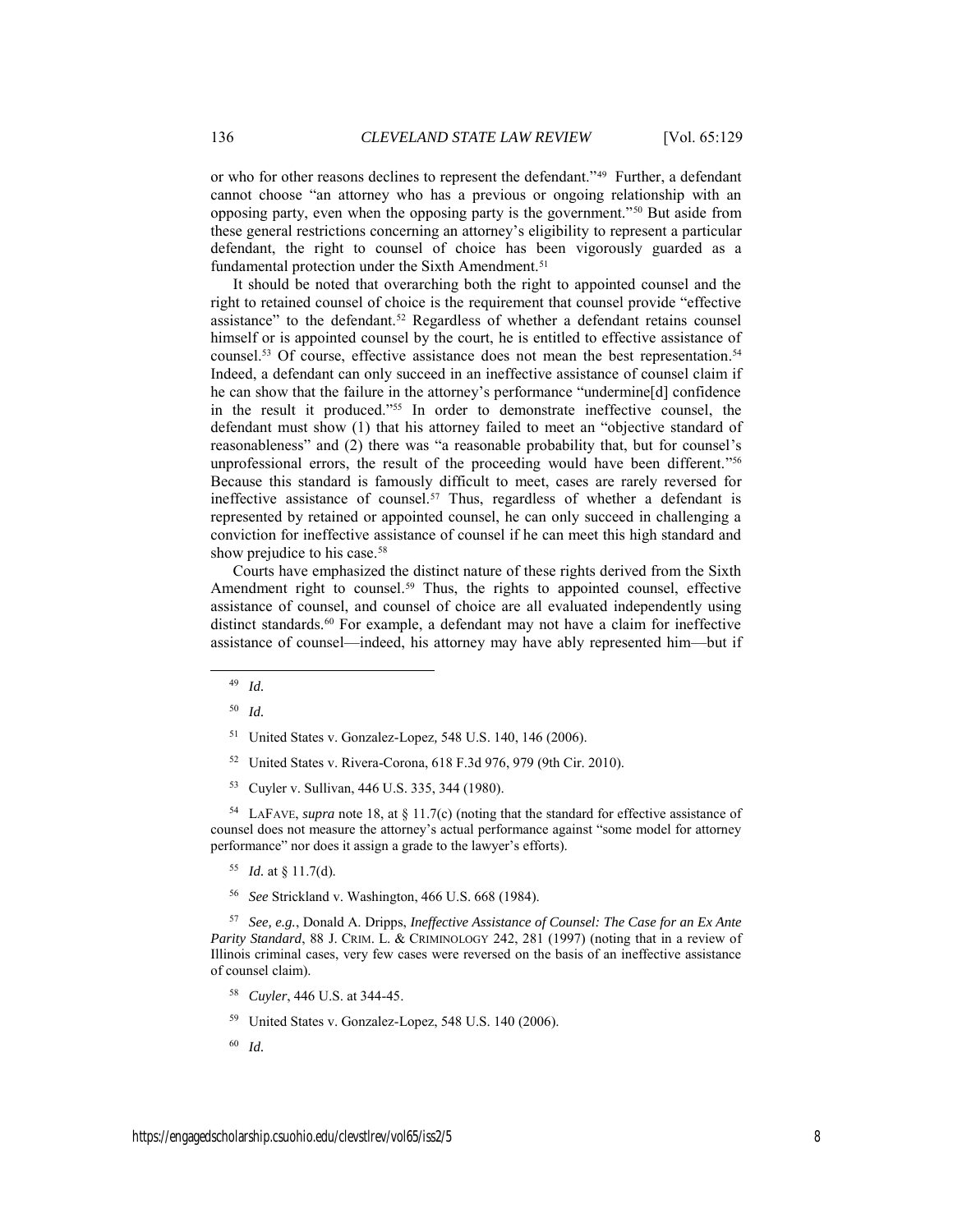or who for other reasons declines to represent the defendant."<sup>49</sup> Further, a defendant cannot choose "an attorney who has a previous or ongoing relationship with an opposing party, even when the opposing party is the government."<sup>50</sup> But aside from these general restrictions concerning an attorney's eligibility to represent a particular defendant, the right to counsel of choice has been vigorously guarded as a fundamental protection under the Sixth Amendment.<sup>51</sup>

It should be noted that overarching both the right to appointed counsel and the right to retained counsel of choice is the requirement that counsel provide "effective assistance" to the defendant.<sup>52</sup> Regardless of whether a defendant retains counsel himself or is appointed counsel by the court, he is entitled to effective assistance of counsel.<sup>53</sup> Of course, effective assistance does not mean the best representation. 54 Indeed, a defendant can only succeed in an ineffective assistance of counsel claim if he can show that the failure in the attorney's performance "undermine[d] confidence in the result it produced."<sup>55</sup> In order to demonstrate ineffective counsel, the defendant must show (1) that his attorney failed to meet an "objective standard of reasonableness" and (2) there was "a reasonable probability that, but for counsel's unprofessional errors, the result of the proceeding would have been different." 56 Because this standard is famously difficult to meet, cases are rarely reversed for ineffective assistance of counsel.<sup>57</sup> Thus, regardless of whether a defendant is represented by retained or appointed counsel, he can only succeed in challenging a conviction for ineffective assistance of counsel if he can meet this high standard and show prejudice to his case.<sup>58</sup>

Courts have emphasized the distinct nature of these rights derived from the Sixth Amendment right to counsel.<sup>59</sup> Thus, the rights to appointed counsel, effective assistance of counsel, and counsel of choice are all evaluated independently using distinct standards.<sup>60</sup> For example, a defendant may not have a claim for ineffective assistance of counsel—indeed, his attorney may have ably represented him—but if

 $\overline{a}$ 

- <sup>52</sup> United States v. Rivera-Corona, 618 F.3d 976, 979 (9th Cir. 2010).
- <sup>53</sup> Cuyler v. Sullivan, 446 U.S. 335, 344 (1980).

<sup>54</sup> LAFAVE, *supra* note 18, at § 11.7(c) (noting that the standard for effective assistance of counsel does not measure the attorney's actual performance against "some model for attorney performance" nor does it assign a grade to the lawyer's efforts).

- <sup>55</sup> *Id.* at § 11.7(d).
- <sup>56</sup> *See* Strickland v. Washington, 466 U.S. 668 (1984).

<sup>57</sup> *See, e.g.*, Donald A. Dripps, *Ineffective Assistance of Counsel: The Case for an Ex Ante Parity Standard*, 88 J. CRIM. L. & CRIMINOLOGY 242, 281 (1997) (noting that in a review of Illinois criminal cases, very few cases were reversed on the basis of an ineffective assistance of counsel claim).

<sup>59</sup> United States v. Gonzalez-Lopez, 548 U.S. 140 (2006).

<sup>60</sup> *Id.*

<sup>49</sup> *Id.*

<sup>50</sup> *Id.*

<sup>51</sup> United States v. Gonzalez-Lopez*,* 548 U.S. 140, 146 (2006).

<sup>58</sup> *Cuyler*, 446 U.S. at 344-45.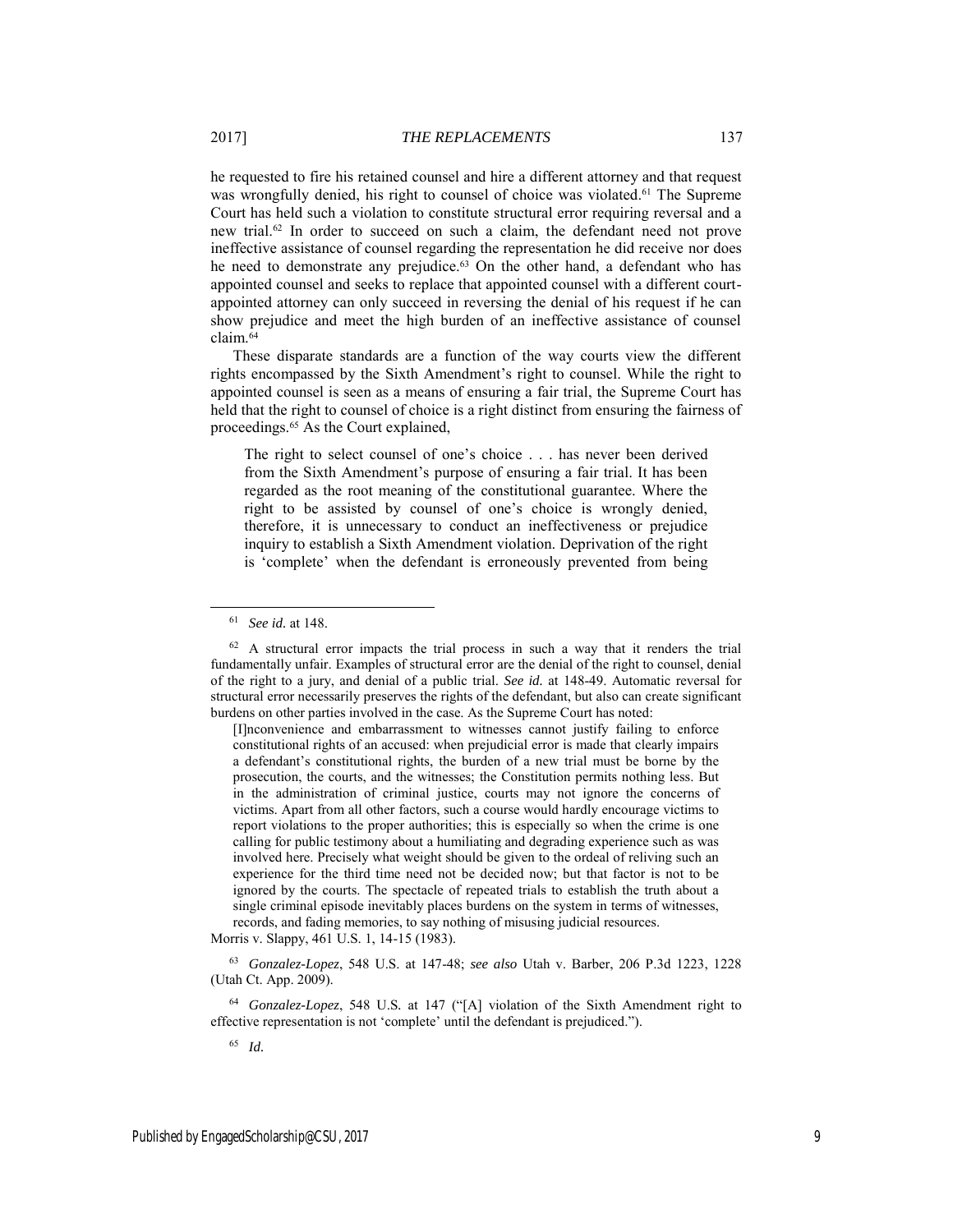he requested to fire his retained counsel and hire a different attorney and that request was wrongfully denied, his right to counsel of choice was violated.<sup>61</sup> The Supreme Court has held such a violation to constitute structural error requiring reversal and a new trial.<sup>62</sup> In order to succeed on such a claim, the defendant need not prove ineffective assistance of counsel regarding the representation he did receive nor does he need to demonstrate any prejudice.<sup>63</sup> On the other hand, a defendant who has appointed counsel and seeks to replace that appointed counsel with a different courtappointed attorney can only succeed in reversing the denial of his request if he can show prejudice and meet the high burden of an ineffective assistance of counsel claim.<sup>64</sup>

These disparate standards are a function of the way courts view the different rights encompassed by the Sixth Amendment's right to counsel. While the right to appointed counsel is seen as a means of ensuring a fair trial, the Supreme Court has held that the right to counsel of choice is a right distinct from ensuring the fairness of proceedings.<sup>65</sup> As the Court explained,

The right to select counsel of one's choice . . . has never been derived from the Sixth Amendment's purpose of ensuring a fair trial. It has been regarded as the root meaning of the constitutional guarantee. Where the right to be assisted by counsel of one's choice is wrongly denied, therefore, it is unnecessary to conduct an ineffectiveness or prejudice inquiry to establish a Sixth Amendment violation. Deprivation of the right is 'complete' when the defendant is erroneously prevented from being

 $\overline{a}$ 

[I]nconvenience and embarrassment to witnesses cannot justify failing to enforce constitutional rights of an accused: when prejudicial error is made that clearly impairs a defendant's constitutional rights, the burden of a new trial must be borne by the prosecution, the courts, and the witnesses; the Constitution permits nothing less. But in the administration of criminal justice, courts may not ignore the concerns of victims. Apart from all other factors, such a course would hardly encourage victims to report violations to the proper authorities; this is especially so when the crime is one calling for public testimony about a humiliating and degrading experience such as was involved here. Precisely what weight should be given to the ordeal of reliving such an experience for the third time need not be decided now; but that factor is not to be ignored by the courts. The spectacle of repeated trials to establish the truth about a single criminal episode inevitably places burdens on the system in terms of witnesses, records, and fading memories, to say nothing of misusing judicial resources.

Morris v. Slappy, 461 U.S. 1, 14-15 (1983).

<sup>63</sup> *Gonzalez-Lopez*, 548 U.S. at 147-48; *see also* Utah v. Barber, 206 P.3d 1223, 1228 (Utah Ct. App. 2009).

<sup>64</sup> *Gonzalez-Lopez*, 548 U.S*.* at 147 ("[A] violation of the Sixth Amendment right to effective representation is not 'complete' until the defendant is prejudiced.").

<sup>65</sup> *Id.*

<sup>61</sup> *See id.* at 148.

 $62$  A structural error impacts the trial process in such a way that it renders the trial fundamentally unfair. Examples of structural error are the denial of the right to counsel, denial of the right to a jury, and denial of a public trial. *See id.* at 148-49. Automatic reversal for structural error necessarily preserves the rights of the defendant, but also can create significant burdens on other parties involved in the case. As the Supreme Court has noted: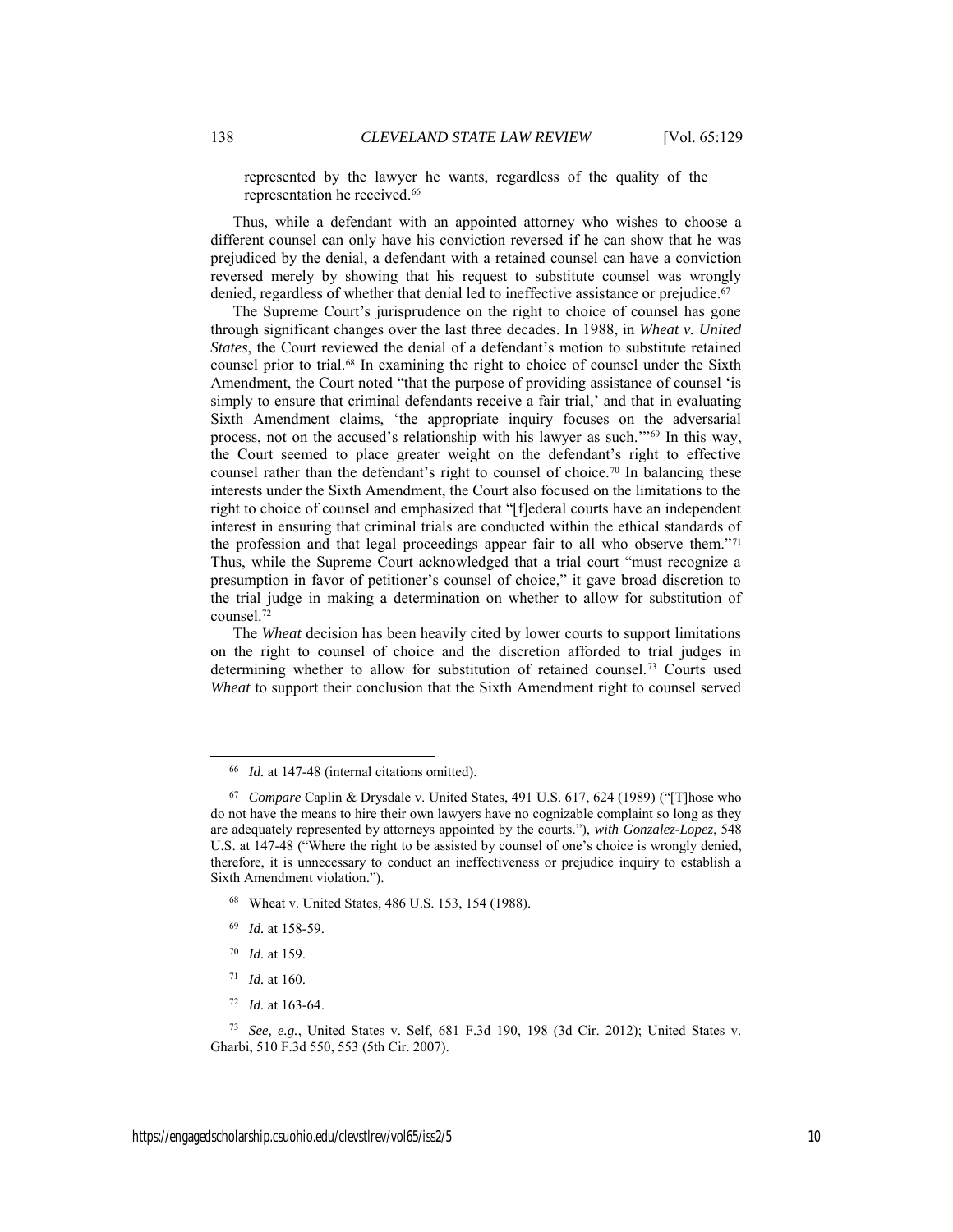represented by the lawyer he wants, regardless of the quality of the representation he received.<sup>66</sup>

Thus, while a defendant with an appointed attorney who wishes to choose a different counsel can only have his conviction reversed if he can show that he was prejudiced by the denial, a defendant with a retained counsel can have a conviction reversed merely by showing that his request to substitute counsel was wrongly denied, regardless of whether that denial led to ineffective assistance or prejudice.<sup>67</sup>

The Supreme Court's jurisprudence on the right to choice of counsel has gone through significant changes over the last three decades. In 1988, in *Wheat v. United States*, the Court reviewed the denial of a defendant's motion to substitute retained counsel prior to trial.<sup>68</sup> In examining the right to choice of counsel under the Sixth Amendment, the Court noted "that the purpose of providing assistance of counsel 'is simply to ensure that criminal defendants receive a fair trial,' and that in evaluating Sixth Amendment claims, 'the appropriate inquiry focuses on the adversarial process, not on the accused's relationship with his lawyer as such.'"<sup>69</sup> In this way, the Court seemed to place greater weight on the defendant's right to effective counsel rather than the defendant's right to counsel of choice.<sup>70</sup> In balancing these interests under the Sixth Amendment, the Court also focused on the limitations to the right to choice of counsel and emphasized that "[f]ederal courts have an independent interest in ensuring that criminal trials are conducted within the ethical standards of the profession and that legal proceedings appear fair to all who observe them."<sup>71</sup> Thus, while the Supreme Court acknowledged that a trial court "must recognize a presumption in favor of petitioner's counsel of choice," it gave broad discretion to the trial judge in making a determination on whether to allow for substitution of counsel.<sup>72</sup>

The *Wheat* decision has been heavily cited by lower courts to support limitations on the right to counsel of choice and the discretion afforded to trial judges in determining whether to allow for substitution of retained counsel.<sup>73</sup> Courts used *Wheat* to support their conclusion that the Sixth Amendment right to counsel served

<sup>70</sup> *Id.* at 159.

 $\overline{a}$ 

- <sup>71</sup> *Id.* at 160.
- <sup>72</sup> *Id.* at 163-64.

<sup>73</sup> *See, e.g.*, United States v. Self, 681 F.3d 190, 198 (3d Cir. 2012); United States v. Gharbi, 510 F.3d 550, 553 (5th Cir. 2007).

<sup>66</sup> *Id.* at 147-48 (internal citations omitted).

<sup>67</sup> *Compare* Caplin & Drysdale v. United States, 491 U.S. 617, 624 (1989) ("[T]hose who do not have the means to hire their own lawyers have no cognizable complaint so long as they are adequately represented by attorneys appointed by the courts."), *with Gonzalez-Lopez*, 548 U.S. at 147-48 ("Where the right to be assisted by counsel of one's choice is wrongly denied, therefore, it is unnecessary to conduct an ineffectiveness or prejudice inquiry to establish a Sixth Amendment violation.").

<sup>68</sup> Wheat v. United States, 486 U.S. 153, 154 (1988).

<sup>69</sup> *Id.* at 158-59.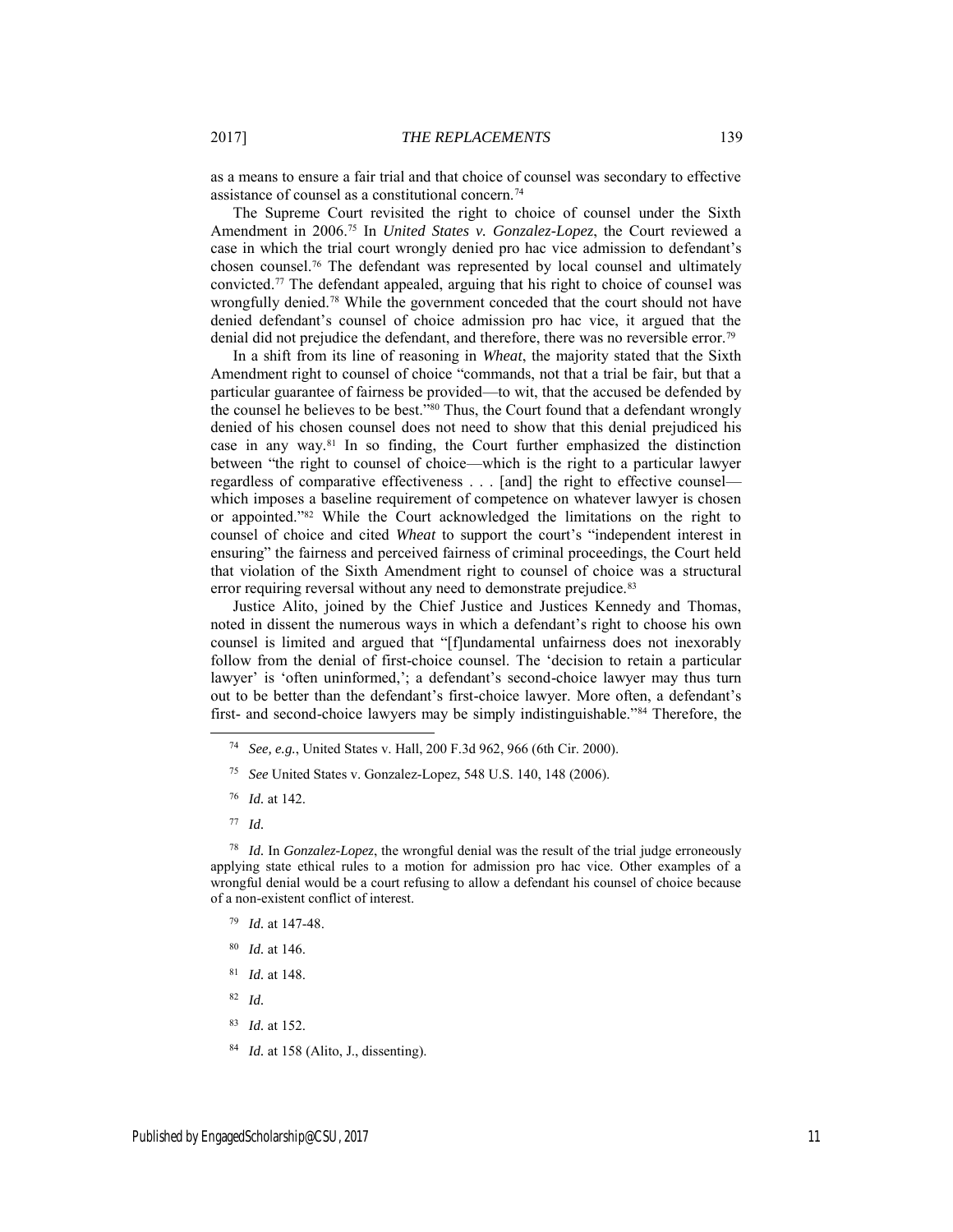as a means to ensure a fair trial and that choice of counsel was secondary to effective assistance of counsel as a constitutional concern.<sup>74</sup>

The Supreme Court revisited the right to choice of counsel under the Sixth Amendment in 2006.<sup>75</sup> In *United States v. Gonzalez-Lopez*, the Court reviewed a case in which the trial court wrongly denied pro hac vice admission to defendant's chosen counsel.<sup>76</sup> The defendant was represented by local counsel and ultimately convicted.<sup>77</sup> The defendant appealed, arguing that his right to choice of counsel was wrongfully denied.<sup>78</sup> While the government conceded that the court should not have denied defendant's counsel of choice admission pro hac vice, it argued that the denial did not prejudice the defendant, and therefore, there was no reversible error.<sup>79</sup>

In a shift from its line of reasoning in *Wheat*, the majority stated that the Sixth Amendment right to counsel of choice "commands, not that a trial be fair, but that a particular guarantee of fairness be provided—to wit, that the accused be defended by the counsel he believes to be best."<sup>80</sup> Thus, the Court found that a defendant wrongly denied of his chosen counsel does not need to show that this denial prejudiced his case in any way.<sup>81</sup> In so finding, the Court further emphasized the distinction between "the right to counsel of choice—which is the right to a particular lawyer regardless of comparative effectiveness . . . [and] the right to effective counsel which imposes a baseline requirement of competence on whatever lawyer is chosen or appointed."<sup>82</sup> While the Court acknowledged the limitations on the right to counsel of choice and cited *Wheat* to support the court's "independent interest in ensuring" the fairness and perceived fairness of criminal proceedings, the Court held that violation of the Sixth Amendment right to counsel of choice was a structural error requiring reversal without any need to demonstrate prejudice.<sup>83</sup>

Justice Alito, joined by the Chief Justice and Justices Kennedy and Thomas, noted in dissent the numerous ways in which a defendant's right to choose his own counsel is limited and argued that "[f]undamental unfairness does not inexorably follow from the denial of first-choice counsel. The 'decision to retain a particular lawyer' is 'often uninformed,'; a defendant's second-choice lawyer may thus turn out to be better than the defendant's first-choice lawyer. More often, a defendant's first- and second-choice lawyers may be simply indistinguishable."<sup>84</sup> Therefore, the

 $\overline{a}$ 

<sup>79</sup> *Id.* at 147-48.

- <sup>80</sup> *Id.* at 146.
- <sup>81</sup> *Id.* at 148.
- <sup>82</sup> *Id.*
- <sup>83</sup> *Id.* at 152.
- <sup>84</sup> *Id.* at 158 (Alito, J., dissenting).

<sup>74</sup> *See, e.g.*, United States v. Hall, 200 F.3d 962, 966 (6th Cir. 2000).

<sup>75</sup> *See* United States v. Gonzalez-Lopez, 548 U.S. 140, 148 (2006).

<sup>76</sup> *Id.* at 142.

<sup>77</sup> *Id.*

<sup>78</sup> *Id.* In *Gonzalez-Lopez*, the wrongful denial was the result of the trial judge erroneously applying state ethical rules to a motion for admission pro hac vice. Other examples of a wrongful denial would be a court refusing to allow a defendant his counsel of choice because of a non-existent conflict of interest.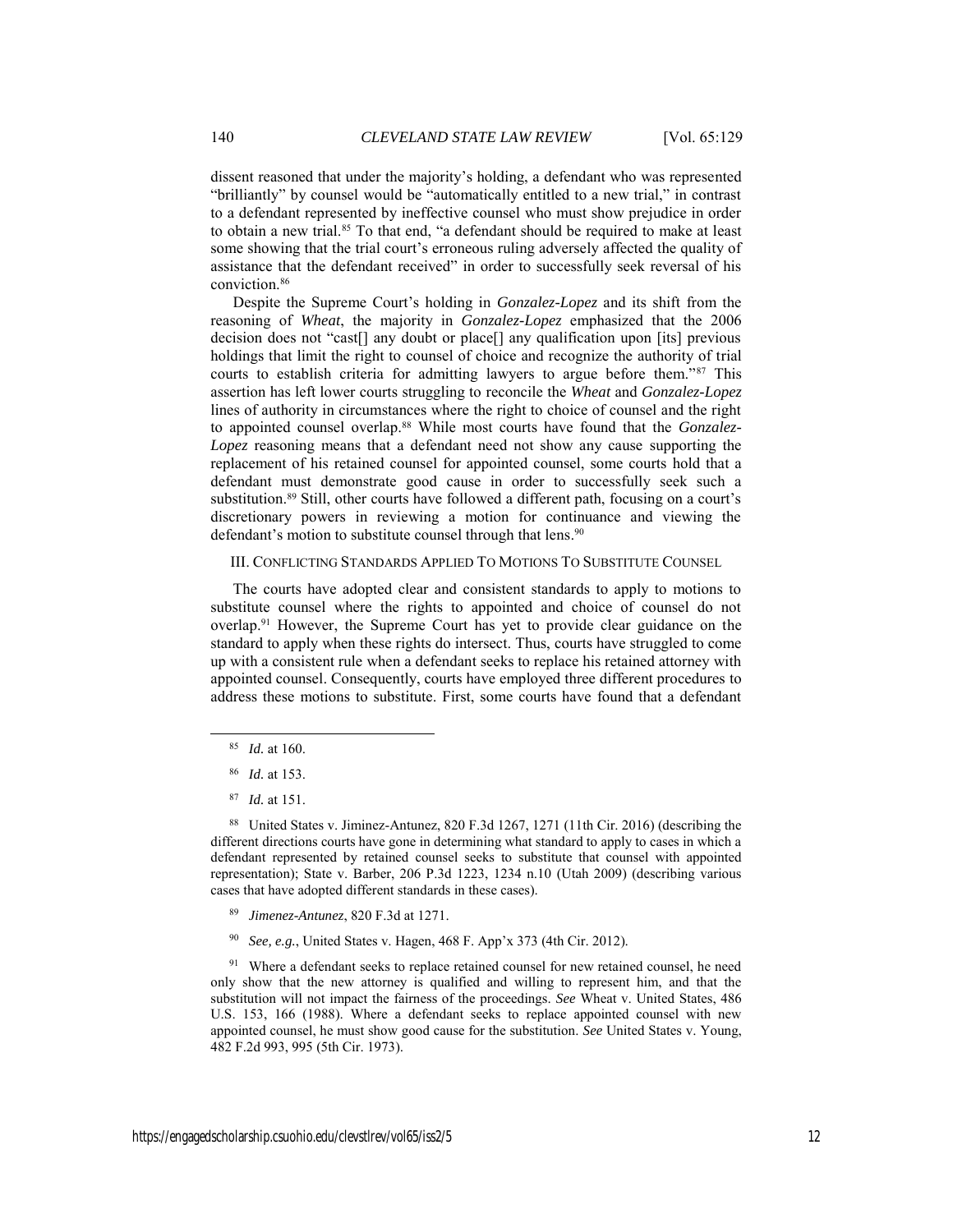dissent reasoned that under the majority's holding, a defendant who was represented "brilliantly" by counsel would be "automatically entitled to a new trial," in contrast to a defendant represented by ineffective counsel who must show prejudice in order to obtain a new trial.<sup>85</sup> To that end, "a defendant should be required to make at least some showing that the trial court's erroneous ruling adversely affected the quality of assistance that the defendant received" in order to successfully seek reversal of his conviction.<sup>86</sup>

Despite the Supreme Court's holding in *Gonzalez-Lopez* and its shift from the reasoning of *Wheat*, the majority in *Gonzalez-Lopez* emphasized that the 2006 decision does not "cast[] any doubt or place[] any qualification upon [its] previous holdings that limit the right to counsel of choice and recognize the authority of trial courts to establish criteria for admitting lawyers to argue before them."<sup>87</sup> This assertion has left lower courts struggling to reconcile the *Wheat* and *Gonzalez-Lopez* lines of authority in circumstances where the right to choice of counsel and the right to appointed counsel overlap.<sup>88</sup> While most courts have found that the *Gonzalez-Lopez* reasoning means that a defendant need not show any cause supporting the replacement of his retained counsel for appointed counsel, some courts hold that a defendant must demonstrate good cause in order to successfully seek such a substitution. <sup>89</sup> Still, other courts have followed a different path, focusing on a court's discretionary powers in reviewing a motion for continuance and viewing the defendant's motion to substitute counsel through that lens. 90

#### III. CONFLICTING STANDARDS APPLIED TO MOTIONS TO SUBSTITUTE COUNSEL

The courts have adopted clear and consistent standards to apply to motions to substitute counsel where the rights to appointed and choice of counsel do not overlap.<sup>91</sup> However, the Supreme Court has yet to provide clear guidance on the standard to apply when these rights do intersect. Thus, courts have struggled to come up with a consistent rule when a defendant seeks to replace his retained attorney with appointed counsel. Consequently, courts have employed three different procedures to address these motions to substitute. First, some courts have found that a defendant

 $\overline{a}$ 

<sup>88</sup> United States v. Jiminez-Antunez, 820 F.3d 1267, 1271 (11th Cir. 2016) (describing the different directions courts have gone in determining what standard to apply to cases in which a defendant represented by retained counsel seeks to substitute that counsel with appointed representation); State v. Barber, 206 P.3d 1223, 1234 n.10 (Utah 2009) (describing various cases that have adopted different standards in these cases).

- <sup>89</sup> *Jimenez-Antunez*, 820 F.3d at 1271.
- <sup>90</sup> *See, e.g.*, United States v. Hagen, 468 F. App'x 373 (4th Cir. 2012).

<sup>91</sup> Where a defendant seeks to replace retained counsel for new retained counsel, he need only show that the new attorney is qualified and willing to represent him, and that the substitution will not impact the fairness of the proceedings. *See* Wheat v. United States, 486 U.S. 153, 166 (1988). Where a defendant seeks to replace appointed counsel with new appointed counsel, he must show good cause for the substitution. *See* United States v. Young, 482 F.2d 993, 995 (5th Cir. 1973).

<sup>85</sup> *Id.* at 160.

<sup>86</sup> *Id.* at 153.

<sup>87</sup> *Id.* at 151.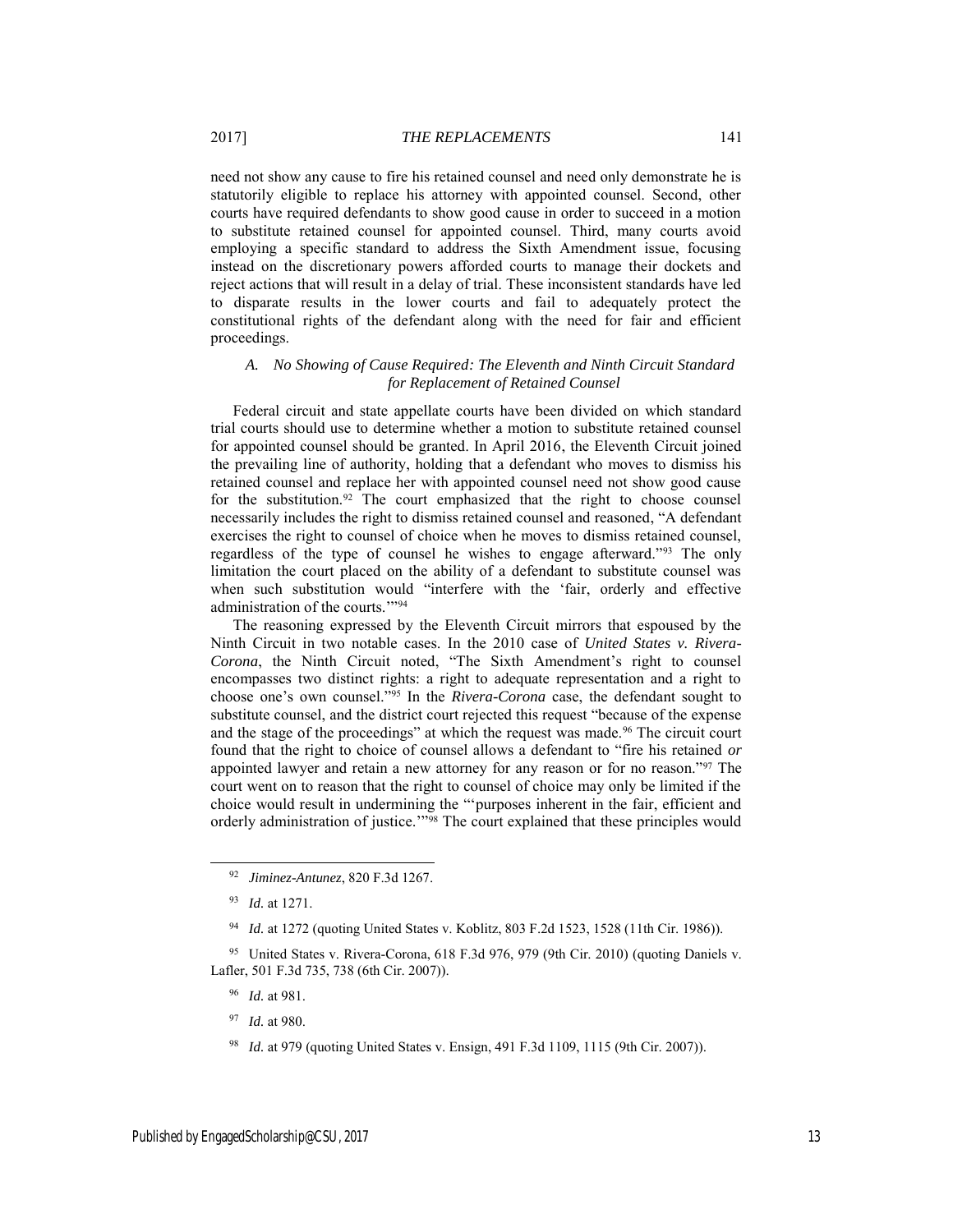need not show any cause to fire his retained counsel and need only demonstrate he is statutorily eligible to replace his attorney with appointed counsel. Second, other courts have required defendants to show good cause in order to succeed in a motion to substitute retained counsel for appointed counsel. Third, many courts avoid employing a specific standard to address the Sixth Amendment issue, focusing instead on the discretionary powers afforded courts to manage their dockets and reject actions that will result in a delay of trial. These inconsistent standards have led to disparate results in the lower courts and fail to adequately protect the constitutional rights of the defendant along with the need for fair and efficient proceedings.

#### *A. No Showing of Cause Required: The Eleventh and Ninth Circuit Standard for Replacement of Retained Counsel*

Federal circuit and state appellate courts have been divided on which standard trial courts should use to determine whether a motion to substitute retained counsel for appointed counsel should be granted. In April 2016, the Eleventh Circuit joined the prevailing line of authority, holding that a defendant who moves to dismiss his retained counsel and replace her with appointed counsel need not show good cause for the substitution.<sup>92</sup> The court emphasized that the right to choose counsel necessarily includes the right to dismiss retained counsel and reasoned, "A defendant exercises the right to counsel of choice when he moves to dismiss retained counsel, regardless of the type of counsel he wishes to engage afterward."<sup>93</sup> The only limitation the court placed on the ability of a defendant to substitute counsel was when such substitution would "interfere with the 'fair, orderly and effective administration of the courts.'"<sup>94</sup>

The reasoning expressed by the Eleventh Circuit mirrors that espoused by the Ninth Circuit in two notable cases. In the 2010 case of *United States v. Rivera-Corona*, the Ninth Circuit noted, "The Sixth Amendment's right to counsel encompasses two distinct rights: a right to adequate representation and a right to choose one's own counsel."<sup>95</sup> In the *Rivera-Corona* case, the defendant sought to substitute counsel, and the district court rejected this request "because of the expense and the stage of the proceedings" at which the request was made.<sup>96</sup> The circuit court found that the right to choice of counsel allows a defendant to "fire his retained *or* appointed lawyer and retain a new attorney for any reason or for no reason."<sup>97</sup> The court went on to reason that the right to counsel of choice may only be limited if the choice would result in undermining the "'purposes inherent in the fair, efficient and orderly administration of justice.'"<sup>98</sup> The court explained that these principles would

 $\overline{a}$ 

<sup>94</sup> *Id.* at 1272 (quoting United States v. Koblitz, 803 F.2d 1523, 1528 (11th Cir. 1986)).

<sup>95</sup> United States v. Rivera-Corona, 618 F.3d 976, 979 (9th Cir. 2010) (quoting Daniels v. Lafler, 501 F.3d 735, 738 (6th Cir. 2007)).

- <sup>96</sup> *Id.* at 981.
- <sup>97</sup> *Id.* at 980.

<sup>92</sup> *Jiminez-Antunez*, 820 F.3d 1267.

<sup>93</sup> *Id.* at 1271.

<sup>98</sup> *Id.* at 979 (quoting United States v. Ensign, 491 F.3d 1109, 1115 (9th Cir. 2007)).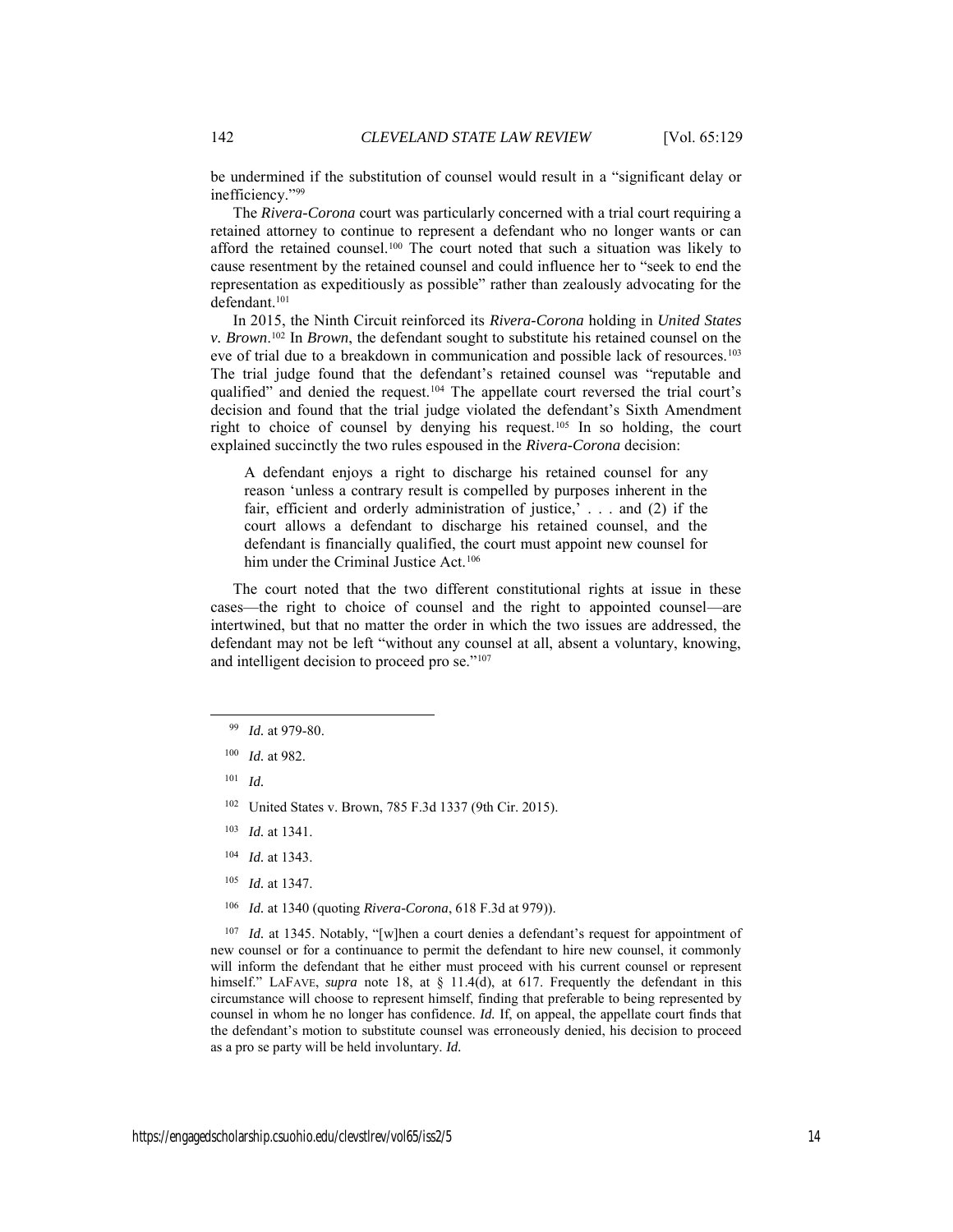be undermined if the substitution of counsel would result in a "significant delay or inefficiency."<sup>99</sup>

The *Rivera-Corona* court was particularly concerned with a trial court requiring a retained attorney to continue to represent a defendant who no longer wants or can afford the retained counsel.<sup>100</sup> The court noted that such a situation was likely to cause resentment by the retained counsel and could influence her to "seek to end the representation as expeditiously as possible" rather than zealously advocating for the defendant.<sup>101</sup>

In 2015, the Ninth Circuit reinforced its *Rivera-Corona* holding in *United States v. Brown*. <sup>102</sup> In *Brown*, the defendant sought to substitute his retained counsel on the eve of trial due to a breakdown in communication and possible lack of resources.<sup>103</sup> The trial judge found that the defendant's retained counsel was "reputable and qualified" and denied the request.<sup>104</sup> The appellate court reversed the trial court's decision and found that the trial judge violated the defendant's Sixth Amendment right to choice of counsel by denying his request.<sup>105</sup> In so holding, the court explained succinctly the two rules espoused in the *Rivera-Corona* decision:

A defendant enjoys a right to discharge his retained counsel for any reason 'unless a contrary result is compelled by purposes inherent in the fair, efficient and orderly administration of justice,' . . . and (2) if the court allows a defendant to discharge his retained counsel, and the defendant is financially qualified, the court must appoint new counsel for him under the Criminal Justice Act.<sup>106</sup>

The court noted that the two different constitutional rights at issue in these cases—the right to choice of counsel and the right to appointed counsel—are intertwined, but that no matter the order in which the two issues are addressed, the defendant may not be left "without any counsel at all, absent a voluntary, knowing, and intelligent decision to proceed pro se."<sup>107</sup>

 $\overline{a}$ 

- <sup>103</sup> *Id.* at 1341.
- <sup>104</sup> *Id.* at 1343.
- <sup>105</sup> *Id.* at 1347.
- <sup>106</sup> *Id.* at 1340 (quoting *Rivera-Corona*, 618 F.3d at 979)).

<sup>107</sup> *Id.* at 1345. Notably, "[w]hen a court denies a defendant's request for appointment of new counsel or for a continuance to permit the defendant to hire new counsel, it commonly will inform the defendant that he either must proceed with his current counsel or represent himself." LAFAVE, *supra* note 18, at § 11.4(d), at 617. Frequently the defendant in this circumstance will choose to represent himself, finding that preferable to being represented by counsel in whom he no longer has confidence. *Id.* If, on appeal, the appellate court finds that the defendant's motion to substitute counsel was erroneously denied, his decision to proceed as a pro se party will be held involuntary. *Id.*

<sup>99</sup> *Id.* at 979-80.

<sup>100</sup> *Id.* at 982.

<sup>101</sup> *Id.*

<sup>102</sup> United States v. Brown, 785 F.3d 1337 (9th Cir. 2015).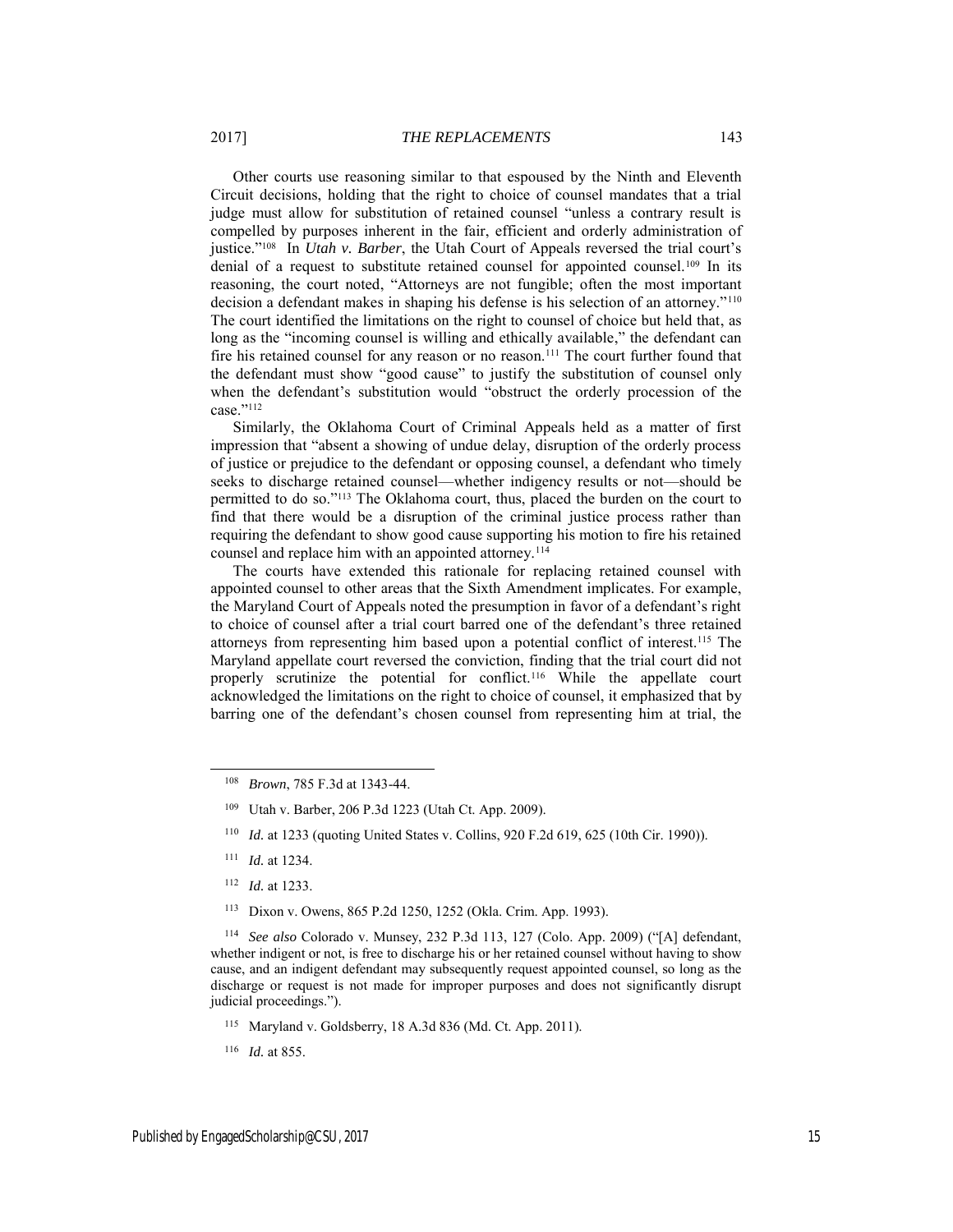Other courts use reasoning similar to that espoused by the Ninth and Eleventh Circuit decisions, holding that the right to choice of counsel mandates that a trial judge must allow for substitution of retained counsel "unless a contrary result is compelled by purposes inherent in the fair, efficient and orderly administration of justice."<sup>108</sup> In *Utah v. Barber*, the Utah Court of Appeals reversed the trial court's denial of a request to substitute retained counsel for appointed counsel.<sup>109</sup> In its reasoning, the court noted, "Attorneys are not fungible; often the most important decision a defendant makes in shaping his defense is his selection of an attorney."<sup>110</sup> The court identified the limitations on the right to counsel of choice but held that, as long as the "incoming counsel is willing and ethically available," the defendant can fire his retained counsel for any reason or no reason.<sup>111</sup> The court further found that the defendant must show "good cause" to justify the substitution of counsel only when the defendant's substitution would "obstruct the orderly procession of the case." 112

Similarly, the Oklahoma Court of Criminal Appeals held as a matter of first impression that "absent a showing of undue delay, disruption of the orderly process of justice or prejudice to the defendant or opposing counsel, a defendant who timely seeks to discharge retained counsel—whether indigency results or not—should be permitted to do so."<sup>113</sup> The Oklahoma court, thus, placed the burden on the court to find that there would be a disruption of the criminal justice process rather than requiring the defendant to show good cause supporting his motion to fire his retained counsel and replace him with an appointed attorney.<sup>114</sup>

The courts have extended this rationale for replacing retained counsel with appointed counsel to other areas that the Sixth Amendment implicates. For example, the Maryland Court of Appeals noted the presumption in favor of a defendant's right to choice of counsel after a trial court barred one of the defendant's three retained attorneys from representing him based upon a potential conflict of interest.<sup>115</sup> The Maryland appellate court reversed the conviction, finding that the trial court did not properly scrutinize the potential for conflict.<sup>116</sup> While the appellate court acknowledged the limitations on the right to choice of counsel, it emphasized that by barring one of the defendant's chosen counsel from representing him at trial, the

 $\overline{a}$ 

<sup>113</sup> Dixon v. Owens, 865 P.2d 1250, 1252 (Okla. Crim. App. 1993).

<sup>114</sup> *See also* Colorado v. Munsey, 232 P.3d 113, 127 (Colo. App. 2009) ("[A] defendant, whether indigent or not, is free to discharge his or her retained counsel without having to show cause, and an indigent defendant may subsequently request appointed counsel, so long as the discharge or request is not made for improper purposes and does not significantly disrupt judicial proceedings.").

<sup>115</sup> Maryland v. Goldsberry, 18 A.3d 836 (Md. Ct. App. 2011).

<sup>116</sup> *Id.* at 855.

<sup>108</sup> *Brown*, 785 F.3d at 1343-44.

<sup>109</sup> Utah v. Barber, 206 P.3d 1223 (Utah Ct. App. 2009).

<sup>110</sup> *Id.* at 1233 (quoting United States v. Collins, 920 F.2d 619, 625 (10th Cir. 1990)).

<sup>111</sup> *Id.* at 1234.

<sup>112</sup> *Id.* at 1233.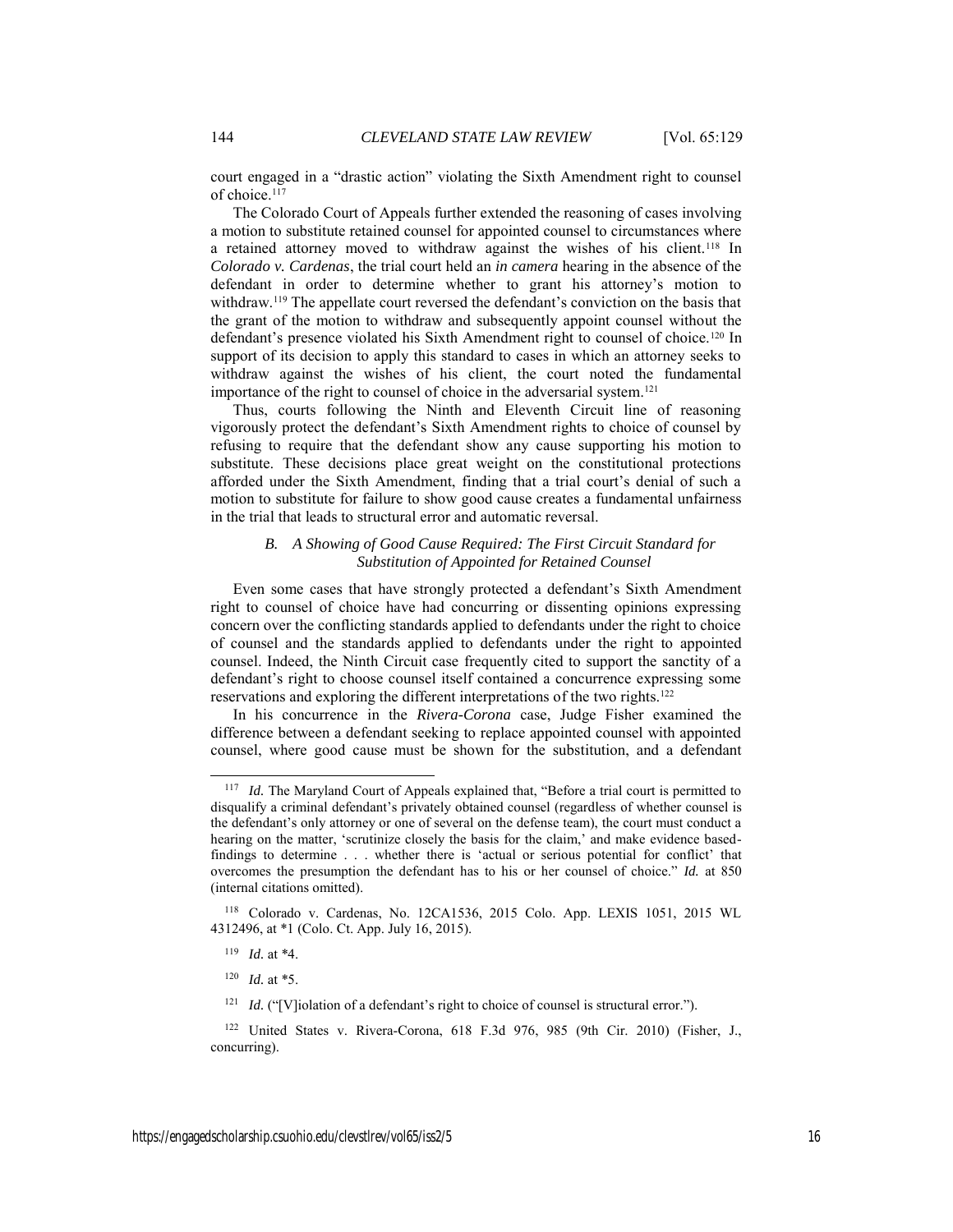court engaged in a "drastic action" violating the Sixth Amendment right to counsel of choice.<sup>117</sup>

The Colorado Court of Appeals further extended the reasoning of cases involving a motion to substitute retained counsel for appointed counsel to circumstances where a retained attorney moved to withdraw against the wishes of his client.<sup>118</sup> In *Colorado v. Cardenas*, the trial court held an *in camera* hearing in the absence of the defendant in order to determine whether to grant his attorney's motion to withdraw.<sup>119</sup> The appellate court reversed the defendant's conviction on the basis that the grant of the motion to withdraw and subsequently appoint counsel without the defendant's presence violated his Sixth Amendment right to counsel of choice.<sup>120</sup> In support of its decision to apply this standard to cases in which an attorney seeks to withdraw against the wishes of his client, the court noted the fundamental importance of the right to counsel of choice in the adversarial system. 121

Thus, courts following the Ninth and Eleventh Circuit line of reasoning vigorously protect the defendant's Sixth Amendment rights to choice of counsel by refusing to require that the defendant show any cause supporting his motion to substitute. These decisions place great weight on the constitutional protections afforded under the Sixth Amendment, finding that a trial court's denial of such a motion to substitute for failure to show good cause creates a fundamental unfairness in the trial that leads to structural error and automatic reversal.

#### *B. A Showing of Good Cause Required: The First Circuit Standard for Substitution of Appointed for Retained Counsel*

Even some cases that have strongly protected a defendant's Sixth Amendment right to counsel of choice have had concurring or dissenting opinions expressing concern over the conflicting standards applied to defendants under the right to choice of counsel and the standards applied to defendants under the right to appointed counsel. Indeed, the Ninth Circuit case frequently cited to support the sanctity of a defendant's right to choose counsel itself contained a concurrence expressing some reservations and exploring the different interpretations of the two rights.<sup>122</sup>

In his concurrence in the *Rivera-Corona* case, Judge Fisher examined the difference between a defendant seeking to replace appointed counsel with appointed counsel, where good cause must be shown for the substitution, and a defendant

<sup>118</sup> Colorado v. Cardenas, No. 12CA1536, 2015 Colo. App. LEXIS 1051, 2015 WL 4312496, at \*1 (Colo. Ct. App. July 16, 2015).

<sup>119</sup> *Id.* at \*4.

 $\overline{a}$ 

<sup>120</sup> *Id.* at \*5.

Id. ("[V]iolation of a defendant's right to choice of counsel is structural error.").

<sup>&</sup>lt;sup>117</sup> *Id.* The Maryland Court of Appeals explained that, "Before a trial court is permitted to disqualify a criminal defendant's privately obtained counsel (regardless of whether counsel is the defendant's only attorney or one of several on the defense team), the court must conduct a hearing on the matter, 'scrutinize closely the basis for the claim,' and make evidence basedfindings to determine . . . whether there is 'actual or serious potential for conflict' that overcomes the presumption the defendant has to his or her counsel of choice." *Id.* at 850 (internal citations omitted).

<sup>122</sup> United States v. Rivera-Corona, 618 F.3d 976, 985 (9th Cir. 2010) (Fisher, J., concurring).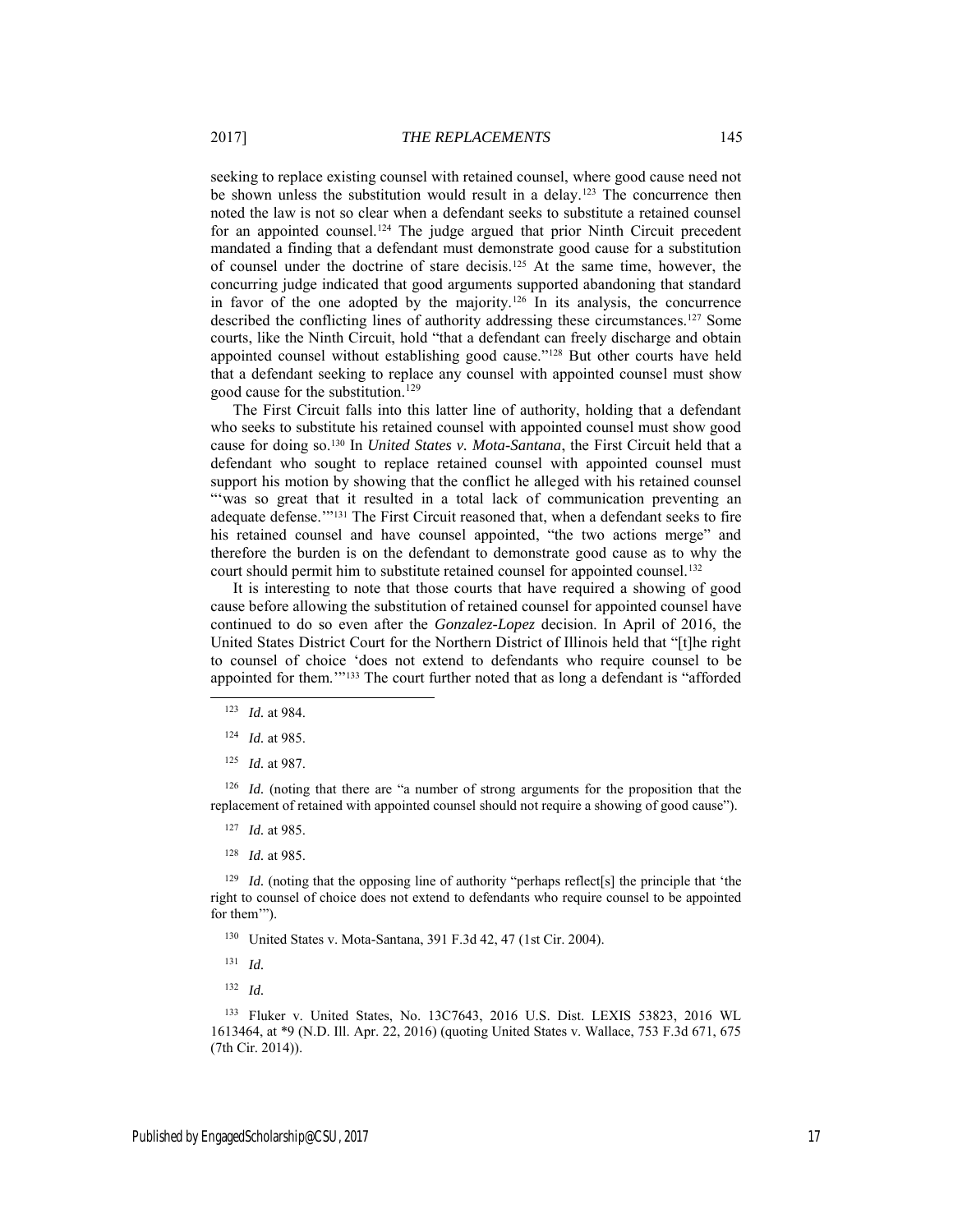seeking to replace existing counsel with retained counsel, where good cause need not be shown unless the substitution would result in a delay.<sup>123</sup> The concurrence then noted the law is not so clear when a defendant seeks to substitute a retained counsel for an appointed counsel.<sup>124</sup> The judge argued that prior Ninth Circuit precedent mandated a finding that a defendant must demonstrate good cause for a substitution of counsel under the doctrine of stare decisis.<sup>125</sup> At the same time, however, the concurring judge indicated that good arguments supported abandoning that standard in favor of the one adopted by the majority.<sup>126</sup> In its analysis, the concurrence described the conflicting lines of authority addressing these circumstances.<sup>127</sup> Some courts, like the Ninth Circuit, hold "that a defendant can freely discharge and obtain appointed counsel without establishing good cause." <sup>128</sup> But other courts have held that a defendant seeking to replace any counsel with appointed counsel must show good cause for the substitution.<sup>129</sup>

The First Circuit falls into this latter line of authority, holding that a defendant who seeks to substitute his retained counsel with appointed counsel must show good cause for doing so.<sup>130</sup> In *United States v. Mota-Santana*, the First Circuit held that a defendant who sought to replace retained counsel with appointed counsel must support his motion by showing that the conflict he alleged with his retained counsel "'was so great that it resulted in a total lack of communication preventing an adequate defense.'"<sup>131</sup> The First Circuit reasoned that, when a defendant seeks to fire his retained counsel and have counsel appointed, "the two actions merge" and therefore the burden is on the defendant to demonstrate good cause as to why the court should permit him to substitute retained counsel for appointed counsel.<sup>132</sup>

It is interesting to note that those courts that have required a showing of good cause before allowing the substitution of retained counsel for appointed counsel have continued to do so even after the *Gonzalez-Lopez* decision. In April of 2016, the United States District Court for the Northern District of Illinois held that "[t]he right to counsel of choice 'does not extend to defendants who require counsel to be appointed for them.""<sup>133</sup> The court further noted that as long a defendant is "afforded

<sup>123</sup> *Id.* at 984.

 $\overline{a}$ 

<sup>124</sup> *Id.* at 985.

<sup>125</sup> *Id.* at 987.

<sup>126</sup> *Id.* (noting that there are "a number of strong arguments for the proposition that the replacement of retained with appointed counsel should not require a showing of good cause").

<sup>127</sup> *Id.* at 985.

<sup>128</sup> *Id.* at 985.

<sup>129</sup> *Id.* (noting that the opposing line of authority "perhaps reflect[s] the principle that 'the right to counsel of choice does not extend to defendants who require counsel to be appointed for them'").

<sup>130</sup> United States v. Mota-Santana, 391 F.3d 42, 47 (1st Cir. 2004).

<sup>131</sup> *Id.*

<sup>132</sup> *Id.*

<sup>133</sup> Fluker v. United States, No. 13C7643, 2016 U.S. Dist. LEXIS 53823, 2016 WL 1613464, at \*9 (N.D. Ill. Apr. 22, 2016) (quoting United States v. Wallace, 753 F.3d 671, 675 (7th Cir. 2014)).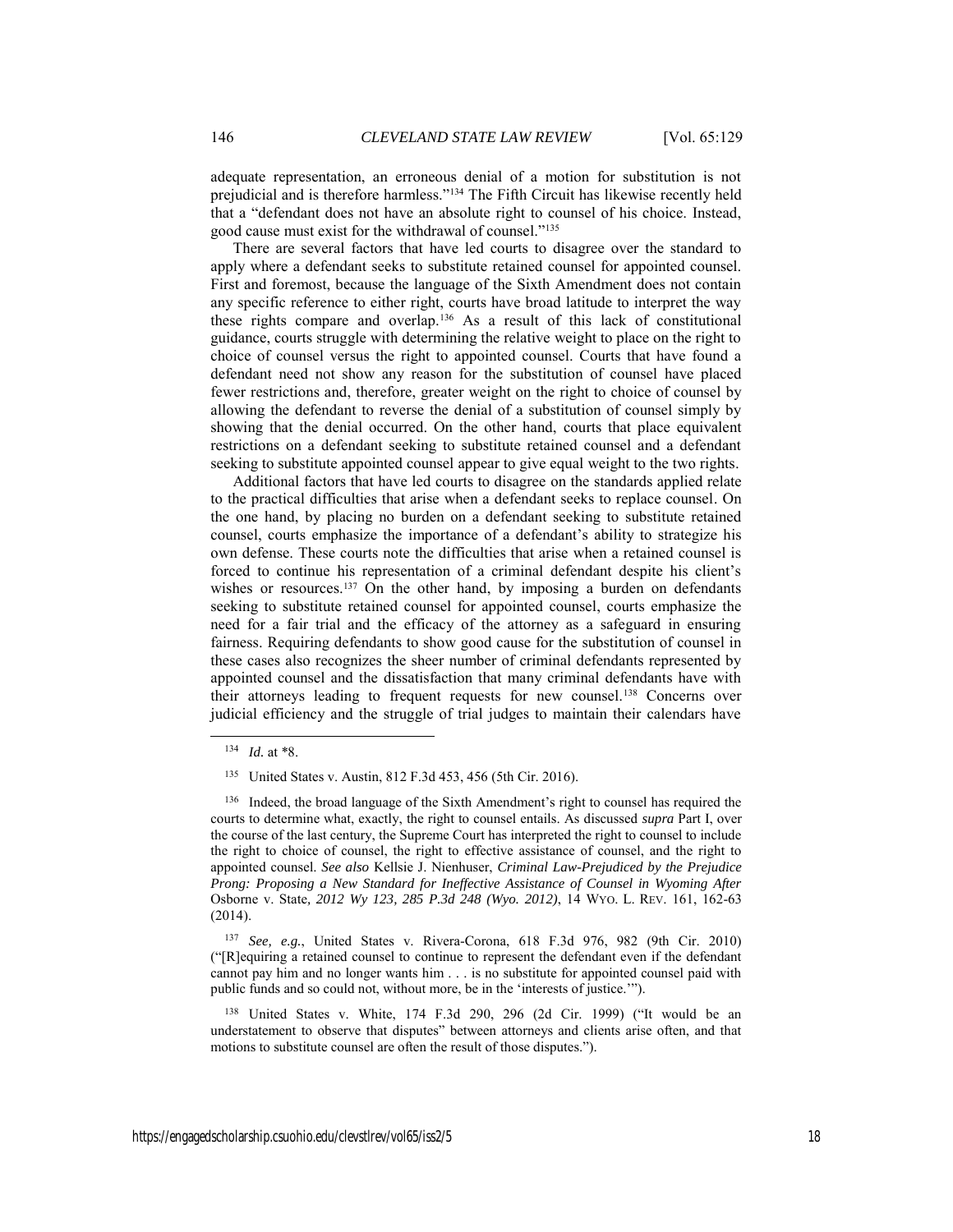adequate representation, an erroneous denial of a motion for substitution is not prejudicial and is therefore harmless."<sup>134</sup> The Fifth Circuit has likewise recently held that a "defendant does not have an absolute right to counsel of his choice. Instead, good cause must exist for the withdrawal of counsel."<sup>135</sup>

There are several factors that have led courts to disagree over the standard to apply where a defendant seeks to substitute retained counsel for appointed counsel. First and foremost, because the language of the Sixth Amendment does not contain any specific reference to either right, courts have broad latitude to interpret the way these rights compare and overlap.<sup>136</sup> As a result of this lack of constitutional guidance, courts struggle with determining the relative weight to place on the right to choice of counsel versus the right to appointed counsel. Courts that have found a defendant need not show any reason for the substitution of counsel have placed fewer restrictions and, therefore, greater weight on the right to choice of counsel by allowing the defendant to reverse the denial of a substitution of counsel simply by showing that the denial occurred. On the other hand, courts that place equivalent restrictions on a defendant seeking to substitute retained counsel and a defendant seeking to substitute appointed counsel appear to give equal weight to the two rights.

Additional factors that have led courts to disagree on the standards applied relate to the practical difficulties that arise when a defendant seeks to replace counsel. On the one hand, by placing no burden on a defendant seeking to substitute retained counsel, courts emphasize the importance of a defendant's ability to strategize his own defense. These courts note the difficulties that arise when a retained counsel is forced to continue his representation of a criminal defendant despite his client's wishes or resources.<sup>137</sup> On the other hand, by imposing a burden on defendants seeking to substitute retained counsel for appointed counsel, courts emphasize the need for a fair trial and the efficacy of the attorney as a safeguard in ensuring fairness. Requiring defendants to show good cause for the substitution of counsel in these cases also recognizes the sheer number of criminal defendants represented by appointed counsel and the dissatisfaction that many criminal defendants have with their attorneys leading to frequent requests for new counsel.<sup>138</sup> Concerns over judicial efficiency and the struggle of trial judges to maintain their calendars have

 $\overline{a}$ 

<sup>137</sup> *See, e.g.*, United States v. Rivera-Corona, 618 F.3d 976, 982 (9th Cir. 2010) ("[R]equiring a retained counsel to continue to represent the defendant even if the defendant cannot pay him and no longer wants him . . . is no substitute for appointed counsel paid with public funds and so could not, without more, be in the 'interests of justice.'").

<sup>138</sup> United States v. White, 174 F.3d 290, 296 (2d Cir. 1999) ("It would be an understatement to observe that disputes" between attorneys and clients arise often, and that motions to substitute counsel are often the result of those disputes.").

<sup>134</sup> *Id.* at \*8.

<sup>135</sup> United States v. Austin, 812 F.3d 453, 456 (5th Cir. 2016).

<sup>136</sup> Indeed, the broad language of the Sixth Amendment's right to counsel has required the courts to determine what, exactly, the right to counsel entails. As discussed *supra* Part I, over the course of the last century, the Supreme Court has interpreted the right to counsel to include the right to choice of counsel, the right to effective assistance of counsel, and the right to appointed counsel. *See also* Kellsie J. Nienhuser, *Criminal Law-Prejudiced by the Prejudice Prong: Proposing a New Standard for Ineffective Assistance of Counsel in Wyoming After*  Osborne v. State*, 2012 Wy 123, 285 P.3d 248 (Wyo. 2012)*, 14 WYO. L. REV. 161, 162-63 (2014).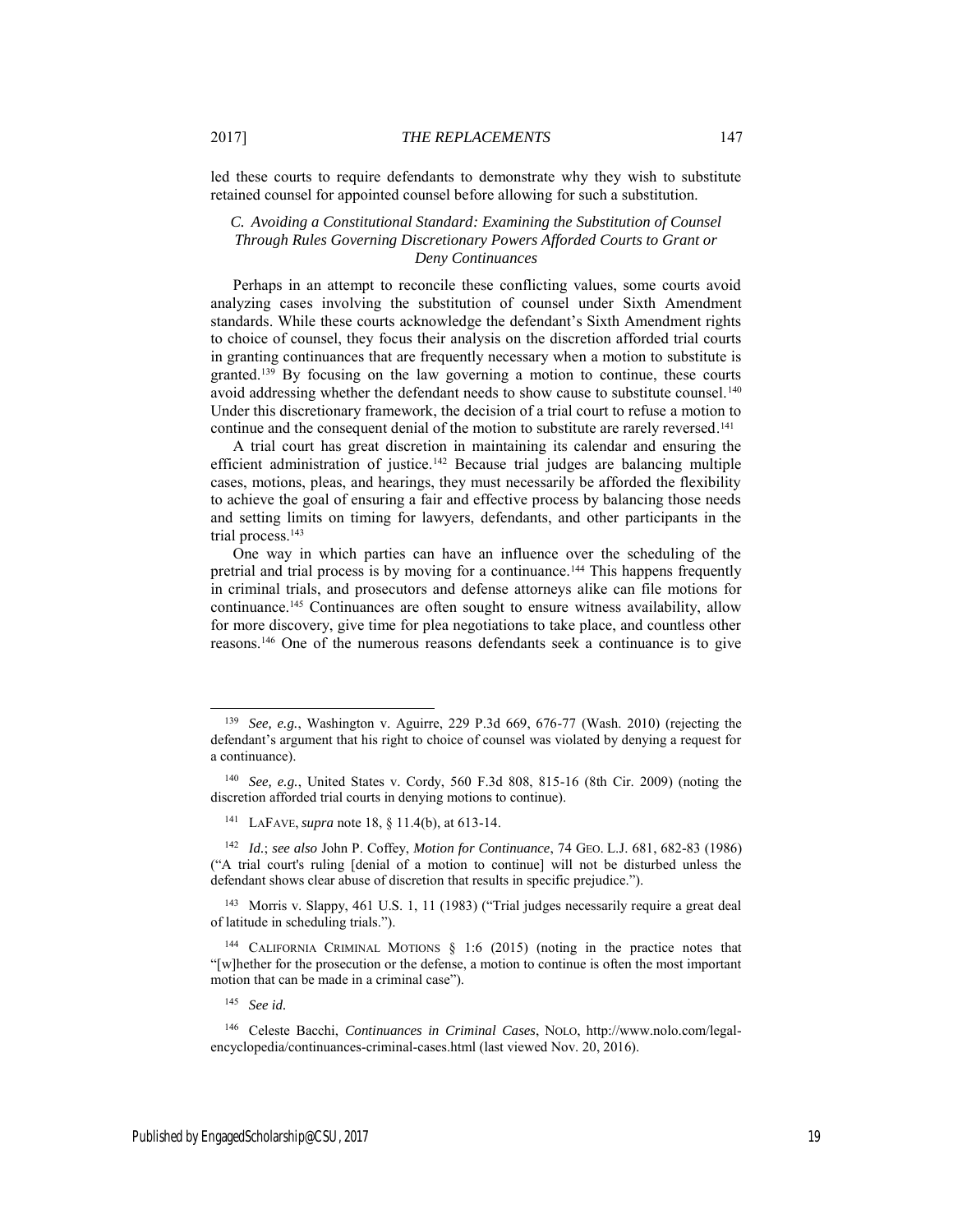led these courts to require defendants to demonstrate why they wish to substitute retained counsel for appointed counsel before allowing for such a substitution.

#### *C. Avoiding a Constitutional Standard: Examining the Substitution of Counsel Through Rules Governing Discretionary Powers Afforded Courts to Grant or Deny Continuances*

Perhaps in an attempt to reconcile these conflicting values, some courts avoid analyzing cases involving the substitution of counsel under Sixth Amendment standards. While these courts acknowledge the defendant's Sixth Amendment rights to choice of counsel, they focus their analysis on the discretion afforded trial courts in granting continuances that are frequently necessary when a motion to substitute is granted.<sup>139</sup> By focusing on the law governing a motion to continue, these courts avoid addressing whether the defendant needs to show cause to substitute counsel.<sup>140</sup> Under this discretionary framework, the decision of a trial court to refuse a motion to continue and the consequent denial of the motion to substitute are rarely reversed. 141

A trial court has great discretion in maintaining its calendar and ensuring the efficient administration of justice.<sup>142</sup> Because trial judges are balancing multiple cases, motions, pleas, and hearings, they must necessarily be afforded the flexibility to achieve the goal of ensuring a fair and effective process by balancing those needs and setting limits on timing for lawyers, defendants, and other participants in the trial process.<sup>143</sup>

One way in which parties can have an influence over the scheduling of the pretrial and trial process is by moving for a continuance.<sup>144</sup> This happens frequently in criminal trials, and prosecutors and defense attorneys alike can file motions for continuance.<sup>145</sup> Continuances are often sought to ensure witness availability, allow for more discovery, give time for plea negotiations to take place, and countless other reasons.<sup>146</sup> One of the numerous reasons defendants seek a continuance is to give

<sup>143</sup> Morris v. Slappy, 461 U.S. 1, 11 (1983) ("Trial judges necessarily require a great deal of latitude in scheduling trials.").

<sup>144</sup> CALIFORNIA CRIMINAL MOTIONS § 1:6 (2015) (noting in the practice notes that "[w]hether for the prosecution or the defense, a motion to continue is often the most important motion that can be made in a criminal case").

<sup>145</sup> *See id.*

 $\overline{a}$ 

<sup>146</sup> Celeste Bacchi, *Continuances in Criminal Cases*, NOLO, http://www.nolo.com/legalencyclopedia/continuances-criminal-cases.html (last viewed Nov. 20, 2016).

<sup>139</sup> *See, e.g.*, Washington v. Aguirre, 229 P.3d 669, 676-77 (Wash. 2010) (rejecting the defendant's argument that his right to choice of counsel was violated by denying a request for a continuance).

<sup>140</sup> *See, e.g.*, United States v. Cordy, 560 F.3d 808, 815-16 (8th Cir. 2009) (noting the discretion afforded trial courts in denying motions to continue).

<sup>141</sup> LAFAVE, *supra* note 18, § 11.4(b), at 613-14.

<sup>142</sup> *Id.*; *see also* John P. Coffey, *Motion for Continuance*, 74 GEO. L.J. 681, 682-83 (1986) ("A trial court's ruling [denial of a motion to continue] will not be disturbed unless the defendant shows clear abuse of discretion that results in specific prejudice.").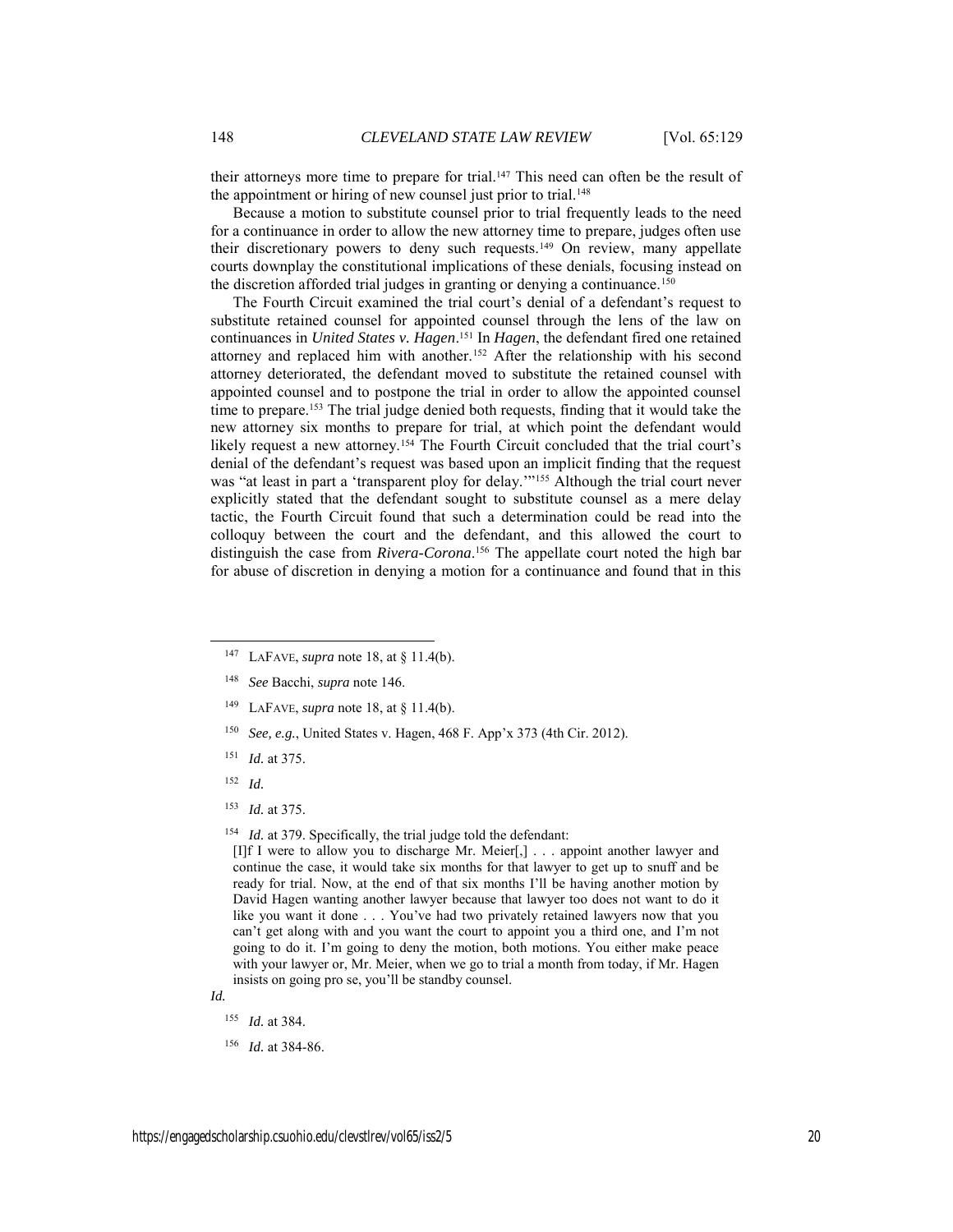their attorneys more time to prepare for trial.<sup>147</sup> This need can often be the result of the appointment or hiring of new counsel just prior to trial.<sup>148</sup>

Because a motion to substitute counsel prior to trial frequently leads to the need for a continuance in order to allow the new attorney time to prepare, judges often use their discretionary powers to deny such requests.<sup>149</sup> On review, many appellate courts downplay the constitutional implications of these denials, focusing instead on the discretion afforded trial judges in granting or denying a continuance.<sup>150</sup>

The Fourth Circuit examined the trial court's denial of a defendant's request to substitute retained counsel for appointed counsel through the lens of the law on continuances in *United States v. Hagen*. <sup>151</sup> In *Hagen*, the defendant fired one retained attorney and replaced him with another.<sup>152</sup> After the relationship with his second attorney deteriorated, the defendant moved to substitute the retained counsel with appointed counsel and to postpone the trial in order to allow the appointed counsel time to prepare.<sup>153</sup> The trial judge denied both requests, finding that it would take the new attorney six months to prepare for trial, at which point the defendant would likely request a new attorney.<sup>154</sup> The Fourth Circuit concluded that the trial court's denial of the defendant's request was based upon an implicit finding that the request was "at least in part a 'transparent ploy for delay."<sup>155</sup> Although the trial court never explicitly stated that the defendant sought to substitute counsel as a mere delay tactic, the Fourth Circuit found that such a determination could be read into the colloquy between the court and the defendant, and this allowed the court to distinguish the case from *Rivera-Corona*. <sup>156</sup> The appellate court noted the high bar for abuse of discretion in denying a motion for a continuance and found that in this

- <sup>147</sup> LAFAVE, *supra* note 18, at § 11.4(b).
- <sup>148</sup> *See* Bacchi, *supra* note 146.
- <sup>149</sup> LAFAVE, *supra* note 18, at § 11.4(b).
- <sup>150</sup> *See, e.g.*, United States v. Hagen, 468 F. App'x 373 (4th Cir. 2012).
- <sup>151</sup> *Id.* at 375.
- <sup>152</sup> *Id.*

 $\overline{a}$ 

<sup>153</sup> *Id.* at 375.

<sup>154</sup> *Id.* at 379. Specifically, the trial judge told the defendant:

[I]f I were to allow you to discharge Mr. Meier[,] . . . appoint another lawyer and continue the case, it would take six months for that lawyer to get up to snuff and be ready for trial. Now, at the end of that six months I'll be having another motion by David Hagen wanting another lawyer because that lawyer too does not want to do it like you want it done . . . You've had two privately retained lawyers now that you can't get along with and you want the court to appoint you a third one, and I'm not going to do it. I'm going to deny the motion, both motions. You either make peace with your lawyer or, Mr. Meier, when we go to trial a month from today, if Mr. Hagen insists on going pro se, you'll be standby counsel.

*Id.*

<sup>155</sup> *Id.* at 384.

<sup>156</sup> *Id.* at 384-86.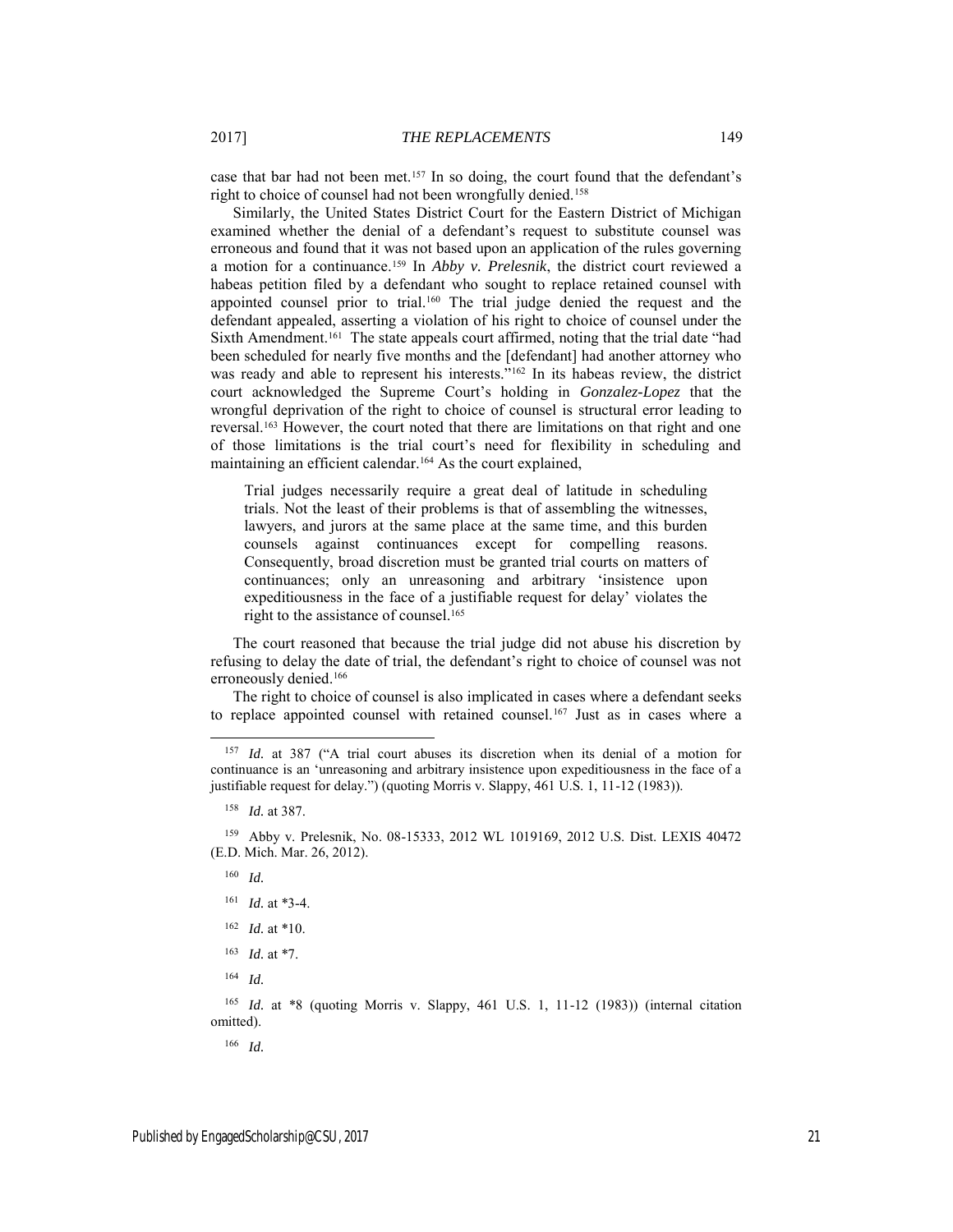case that bar had not been met.<sup>157</sup> In so doing, the court found that the defendant's right to choice of counsel had not been wrongfully denied.<sup>158</sup>

Similarly, the United States District Court for the Eastern District of Michigan examined whether the denial of a defendant's request to substitute counsel was erroneous and found that it was not based upon an application of the rules governing a motion for a continuance.<sup>159</sup> In *Abby v. Prelesnik*, the district court reviewed a habeas petition filed by a defendant who sought to replace retained counsel with appointed counsel prior to trial.<sup>160</sup> The trial judge denied the request and the defendant appealed, asserting a violation of his right to choice of counsel under the Sixth Amendment.<sup>161</sup> The state appeals court affirmed, noting that the trial date "had been scheduled for nearly five months and the [defendant] had another attorney who was ready and able to represent his interests."<sup>162</sup> In its habeas review, the district court acknowledged the Supreme Court's holding in *Gonzalez-Lopez* that the wrongful deprivation of the right to choice of counsel is structural error leading to reversal.<sup>163</sup> However, the court noted that there are limitations on that right and one of those limitations is the trial court's need for flexibility in scheduling and maintaining an efficient calendar.<sup>164</sup> As the court explained,

Trial judges necessarily require a great deal of latitude in scheduling trials. Not the least of their problems is that of assembling the witnesses, lawyers, and jurors at the same place at the same time, and this burden counsels against continuances except for compelling reasons. Consequently, broad discretion must be granted trial courts on matters of continuances; only an unreasoning and arbitrary 'insistence upon expeditiousness in the face of a justifiable request for delay' violates the right to the assistance of counsel.<sup>165</sup>

The court reasoned that because the trial judge did not abuse his discretion by refusing to delay the date of trial, the defendant's right to choice of counsel was not erroneously denied.<sup>166</sup>

The right to choice of counsel is also implicated in cases where a defendant seeks to replace appointed counsel with retained counsel.<sup>167</sup> Just as in cases where a

<sup>159</sup> Abby v. Prelesnik, No. 08-15333, 2012 WL 1019169, 2012 U.S. Dist. LEXIS 40472 (E.D. Mich. Mar. 26, 2012).

<sup>160</sup> *Id.*

 $\overline{a}$ 

- <sup>161</sup> *Id.* at \*3-4.
- <sup>162</sup> *Id.* at \*10.
- <sup>163</sup> *Id.* at \*7.
- <sup>164</sup> *Id.*

<sup>165</sup> *Id.* at \*8 (quoting Morris v. Slappy, 461 U.S. 1, 11-12 (1983)) (internal citation omitted).

<sup>166</sup> *Id.*

<sup>157</sup> *Id.* at 387 ("A trial court abuses its discretion when its denial of a motion for continuance is an 'unreasoning and arbitrary insistence upon expeditiousness in the face of a justifiable request for delay.") (quoting Morris v. Slappy, 461 U.S. 1, 11-12 (1983)).

<sup>158</sup> *Id.* at 387.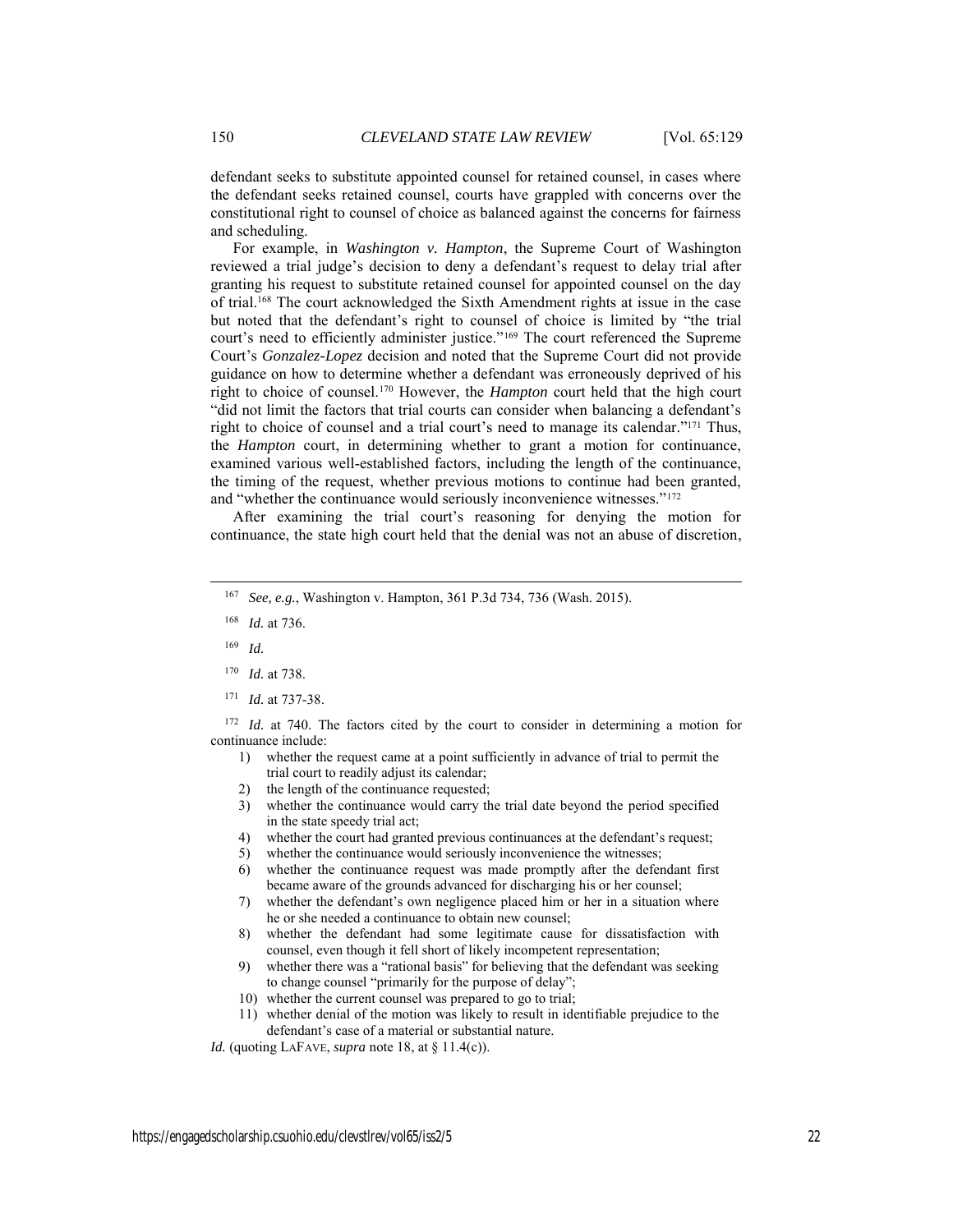defendant seeks to substitute appointed counsel for retained counsel, in cases where the defendant seeks retained counsel, courts have grappled with concerns over the constitutional right to counsel of choice as balanced against the concerns for fairness and scheduling.

For example, in *Washington v. Hampton*, the Supreme Court of Washington reviewed a trial judge's decision to deny a defendant's request to delay trial after granting his request to substitute retained counsel for appointed counsel on the day of trial.<sup>168</sup> The court acknowledged the Sixth Amendment rights at issue in the case but noted that the defendant's right to counsel of choice is limited by "the trial court's need to efficiently administer justice."<sup>169</sup> The court referenced the Supreme Court's *Gonzalez-Lopez* decision and noted that the Supreme Court did not provide guidance on how to determine whether a defendant was erroneously deprived of his right to choice of counsel.<sup>170</sup> However, the *Hampton* court held that the high court "did not limit the factors that trial courts can consider when balancing a defendant's right to choice of counsel and a trial court's need to manage its calendar."<sup>171</sup> Thus, the *Hampton* court, in determining whether to grant a motion for continuance, examined various well-established factors, including the length of the continuance, the timing of the request, whether previous motions to continue had been granted, and "whether the continuance would seriously inconvenience witnesses."<sup>172</sup>

After examining the trial court's reasoning for denying the motion for continuance, the state high court held that the denial was not an abuse of discretion,

 $\overline{a}$ 

- <sup>170</sup> *Id.* at 738.
- <sup>171</sup> *Id.* at 737-38.

<sup>172</sup> *Id.* at 740. The factors cited by the court to consider in determining a motion for continuance include:

- 1) whether the request came at a point sufficiently in advance of trial to permit the trial court to readily adjust its calendar;
- 2) the length of the continuance requested;
- 3) whether the continuance would carry the trial date beyond the period specified in the state speedy trial act;
- 4) whether the court had granted previous continuances at the defendant's request;
- 5) whether the continuance would seriously inconvenience the witnesses;
- 6) whether the continuance request was made promptly after the defendant first became aware of the grounds advanced for discharging his or her counsel;
- 7) whether the defendant's own negligence placed him or her in a situation where he or she needed a continuance to obtain new counsel;
- 8) whether the defendant had some legitimate cause for dissatisfaction with counsel, even though it fell short of likely incompetent representation;
- 9) whether there was a "rational basis" for believing that the defendant was seeking to change counsel "primarily for the purpose of delay";
- 10) whether the current counsel was prepared to go to trial;
- 11) whether denial of the motion was likely to result in identifiable prejudice to the defendant's case of a material or substantial nature.

*Id.* (quoting LAFAVE, *supra* note 18, at § 11.4(c)).

<sup>167</sup> *See, e.g.*, Washington v. Hampton, 361 P.3d 734, 736 (Wash. 2015).

<sup>168</sup> *Id.* at 736.

<sup>169</sup> *Id.*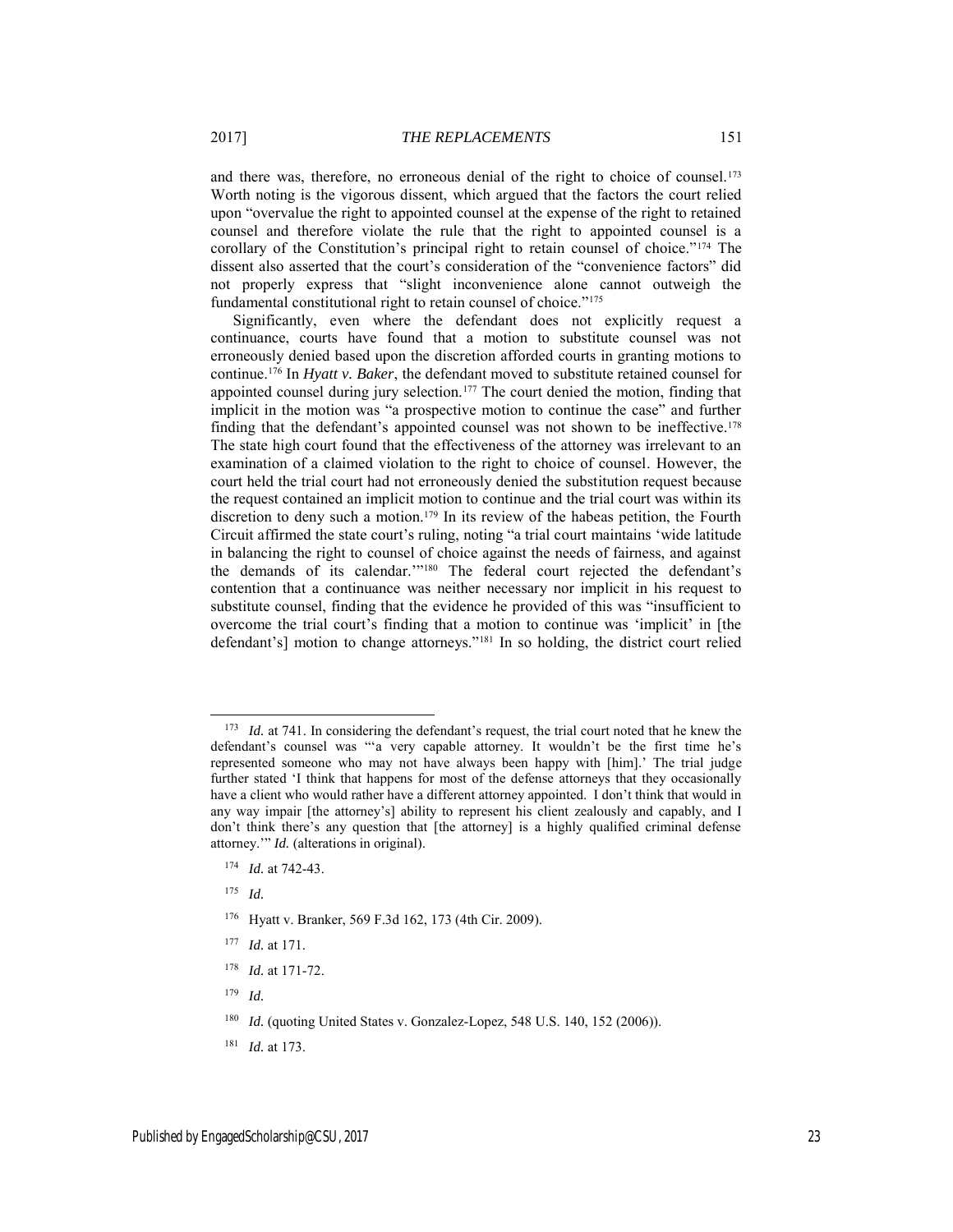and there was, therefore, no erroneous denial of the right to choice of counsel.<sup>173</sup> Worth noting is the vigorous dissent, which argued that the factors the court relied upon "overvalue the right to appointed counsel at the expense of the right to retained counsel and therefore violate the rule that the right to appointed counsel is a corollary of the Constitution's principal right to retain counsel of choice."<sup>174</sup> The dissent also asserted that the court's consideration of the "convenience factors" did not properly express that "slight inconvenience alone cannot outweigh the fundamental constitutional right to retain counsel of choice."<sup>175</sup>

Significantly, even where the defendant does not explicitly request a continuance, courts have found that a motion to substitute counsel was not erroneously denied based upon the discretion afforded courts in granting motions to continue.<sup>176</sup> In *Hyatt v. Baker*, the defendant moved to substitute retained counsel for appointed counsel during jury selection.<sup>177</sup> The court denied the motion, finding that implicit in the motion was "a prospective motion to continue the case" and further finding that the defendant's appointed counsel was not shown to be ineffective.<sup>178</sup> The state high court found that the effectiveness of the attorney was irrelevant to an examination of a claimed violation to the right to choice of counsel. However, the court held the trial court had not erroneously denied the substitution request because the request contained an implicit motion to continue and the trial court was within its discretion to deny such a motion.<sup>179</sup> In its review of the habeas petition, the Fourth Circuit affirmed the state court's ruling, noting "a trial court maintains 'wide latitude in balancing the right to counsel of choice against the needs of fairness, and against the demands of its calendar.'"<sup>180</sup> The federal court rejected the defendant's contention that a continuance was neither necessary nor implicit in his request to substitute counsel, finding that the evidence he provided of this was "insufficient to overcome the trial court's finding that a motion to continue was 'implicit' in [the defendant's] motion to change attorneys."<sup>181</sup> In so holding, the district court relied

 $\overline{a}$ 

<sup>179</sup> *Id.*

<sup>&</sup>lt;sup>173</sup> *Id.* at 741. In considering the defendant's request, the trial court noted that he knew the defendant's counsel was "'a very capable attorney. It wouldn't be the first time he's represented someone who may not have always been happy with [him].' The trial judge further stated 'I think that happens for most of the defense attorneys that they occasionally have a client who would rather have a different attorney appointed. I don't think that would in any way impair [the attorney's] ability to represent his client zealously and capably, and I don't think there's any question that [the attorney] is a highly qualified criminal defense attorney.'" *Id.* (alterations in original).

<sup>174</sup> *Id.* at 742-43.

<sup>175</sup> *Id.*

<sup>176</sup> Hyatt v. Branker, 569 F.3d 162, 173 (4th Cir. 2009).

<sup>177</sup> *Id.* at 171.

<sup>178</sup> *Id.* at 171-72.

<sup>&</sup>lt;sup>180</sup> *Id.* (quoting United States v. Gonzalez-Lopez, 548 U.S. 140, 152 (2006)).

<sup>181</sup> *Id.* at 173.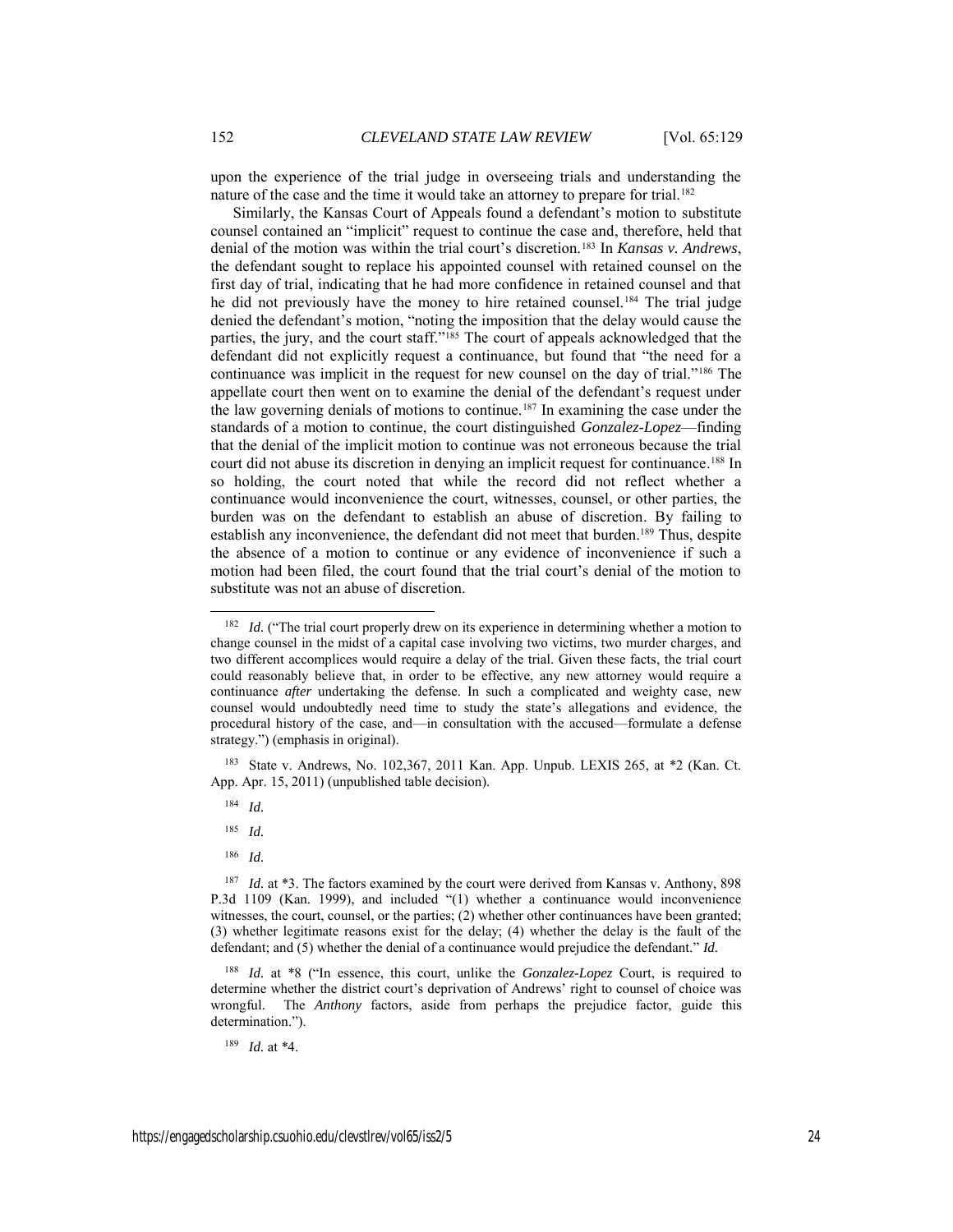upon the experience of the trial judge in overseeing trials and understanding the nature of the case and the time it would take an attorney to prepare for trial.<sup>182</sup>

Similarly, the Kansas Court of Appeals found a defendant's motion to substitute counsel contained an "implicit" request to continue the case and, therefore, held that denial of the motion was within the trial court's discretion.<sup>183</sup> In *Kansas v. Andrews*, the defendant sought to replace his appointed counsel with retained counsel on the first day of trial, indicating that he had more confidence in retained counsel and that he did not previously have the money to hire retained counsel.<sup>184</sup> The trial judge denied the defendant's motion, "noting the imposition that the delay would cause the parties, the jury, and the court staff."<sup>185</sup> The court of appeals acknowledged that the defendant did not explicitly request a continuance, but found that "the need for a continuance was implicit in the request for new counsel on the day of trial."<sup>186</sup> The appellate court then went on to examine the denial of the defendant's request under the law governing denials of motions to continue.<sup>187</sup> In examining the case under the standards of a motion to continue, the court distinguished *Gonzalez-Lopez*—finding that the denial of the implicit motion to continue was not erroneous because the trial court did not abuse its discretion in denying an implicit request for continuance. <sup>188</sup> In so holding, the court noted that while the record did not reflect whether a continuance would inconvenience the court, witnesses, counsel, or other parties, the burden was on the defendant to establish an abuse of discretion. By failing to establish any inconvenience, the defendant did not meet that burden.<sup>189</sup> Thus, despite the absence of a motion to continue or any evidence of inconvenience if such a motion had been filed, the court found that the trial court's denial of the motion to substitute was not an abuse of discretion.

<sup>183</sup> State v. Andrews, No. 102,367, 2011 Kan. App. Unpub. LEXIS 265, at \*2 (Kan. Ct. App. Apr. 15, 2011) (unpublished table decision).

 $\overline{a}$ 

<sup>185</sup> *Id.*

<sup>186</sup> *Id.*

<sup>189</sup> *Id.* at \*4.

<sup>&</sup>lt;sup>182</sup> *Id.* ("The trial court properly drew on its experience in determining whether a motion to change counsel in the midst of a capital case involving two victims, two murder charges, and two different accomplices would require a delay of the trial. Given these facts, the trial court could reasonably believe that, in order to be effective, any new attorney would require a continuance *after* undertaking the defense. In such a complicated and weighty case, new counsel would undoubtedly need time to study the state's allegations and evidence, the procedural history of the case, and—in consultation with the accused—formulate a defense strategy.") (emphasis in original).

<sup>184</sup> *Id.*

<sup>187</sup> *Id.* at \*3. The factors examined by the court were derived from Kansas v. Anthony, 898 P.3d 1109 (Kan. 1999), and included "(1) whether a continuance would inconvenience witnesses, the court, counsel, or the parties; (2) whether other continuances have been granted; (3) whether legitimate reasons exist for the delay; (4) whether the delay is the fault of the defendant; and (5) whether the denial of a continuance would prejudice the defendant." *Id.*

<sup>188</sup> *Id.* at \*8 ("In essence, this court, unlike the *Gonzalez-Lopez* Court, is required to determine whether the district court's deprivation of Andrews' right to counsel of choice was wrongful. The *Anthony* factors, aside from perhaps the prejudice factor, guide this determination.").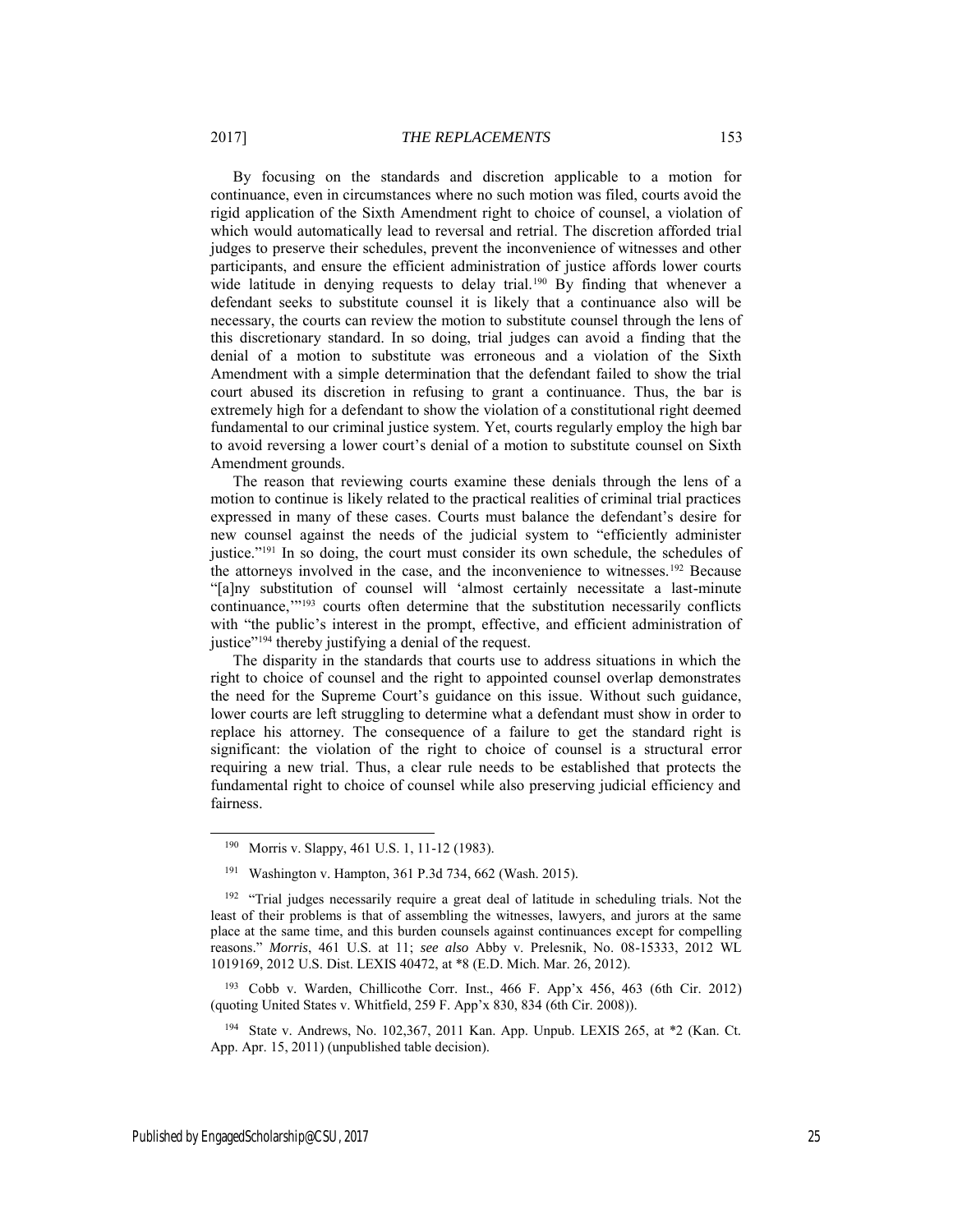By focusing on the standards and discretion applicable to a motion for continuance, even in circumstances where no such motion was filed, courts avoid the rigid application of the Sixth Amendment right to choice of counsel, a violation of which would automatically lead to reversal and retrial. The discretion afforded trial judges to preserve their schedules, prevent the inconvenience of witnesses and other participants, and ensure the efficient administration of justice affords lower courts wide latitude in denying requests to delay trial.<sup>190</sup> By finding that whenever a defendant seeks to substitute counsel it is likely that a continuance also will be necessary, the courts can review the motion to substitute counsel through the lens of this discretionary standard. In so doing, trial judges can avoid a finding that the denial of a motion to substitute was erroneous and a violation of the Sixth Amendment with a simple determination that the defendant failed to show the trial court abused its discretion in refusing to grant a continuance. Thus, the bar is extremely high for a defendant to show the violation of a constitutional right deemed fundamental to our criminal justice system. Yet, courts regularly employ the high bar to avoid reversing a lower court's denial of a motion to substitute counsel on Sixth Amendment grounds.

The reason that reviewing courts examine these denials through the lens of a motion to continue is likely related to the practical realities of criminal trial practices expressed in many of these cases. Courts must balance the defendant's desire for new counsel against the needs of the judicial system to "efficiently administer justice."<sup>191</sup> In so doing, the court must consider its own schedule, the schedules of the attorneys involved in the case, and the inconvenience to witnesses.<sup>192</sup> Because "[a]ny substitution of counsel will 'almost certainly necessitate a last-minute continuance,'" <sup>193</sup> courts often determine that the substitution necessarily conflicts with "the public's interest in the prompt, effective, and efficient administration of justice"<sup>194</sup> thereby justifying a denial of the request.

The disparity in the standards that courts use to address situations in which the right to choice of counsel and the right to appointed counsel overlap demonstrates the need for the Supreme Court's guidance on this issue. Without such guidance, lower courts are left struggling to determine what a defendant must show in order to replace his attorney. The consequence of a failure to get the standard right is significant: the violation of the right to choice of counsel is a structural error requiring a new trial. Thus, a clear rule needs to be established that protects the fundamental right to choice of counsel while also preserving judicial efficiency and fairness.

<sup>190</sup> Morris v. Slappy, 461 U.S. 1, 11-12 (1983).

<sup>193</sup> Cobb v. Warden, Chillicothe Corr. Inst., 466 F. App'x 456, 463 (6th Cir. 2012) (quoting United States v. Whitfield, 259 F. App'x 830, 834 (6th Cir. 2008)).

<sup>194</sup> State v. Andrews, No. 102,367, 2011 Kan. App. Unpub. LEXIS 265, at \*2 (Kan. Ct. App. Apr. 15, 2011) (unpublished table decision).

 $\overline{a}$ 

<sup>191</sup> Washington v. Hampton, 361 P.3d 734, 662 (Wash. 2015).

<sup>&</sup>lt;sup>192</sup> "Trial judges necessarily require a great deal of latitude in scheduling trials. Not the least of their problems is that of assembling the witnesses, lawyers, and jurors at the same place at the same time, and this burden counsels against continuances except for compelling reasons." *Morris*, 461 U.S. at 11; *see also* Abby v. Prelesnik, No. 08-15333, 2012 WL 1019169, 2012 U.S. Dist. LEXIS 40472, at \*8 (E.D. Mich. Mar. 26, 2012).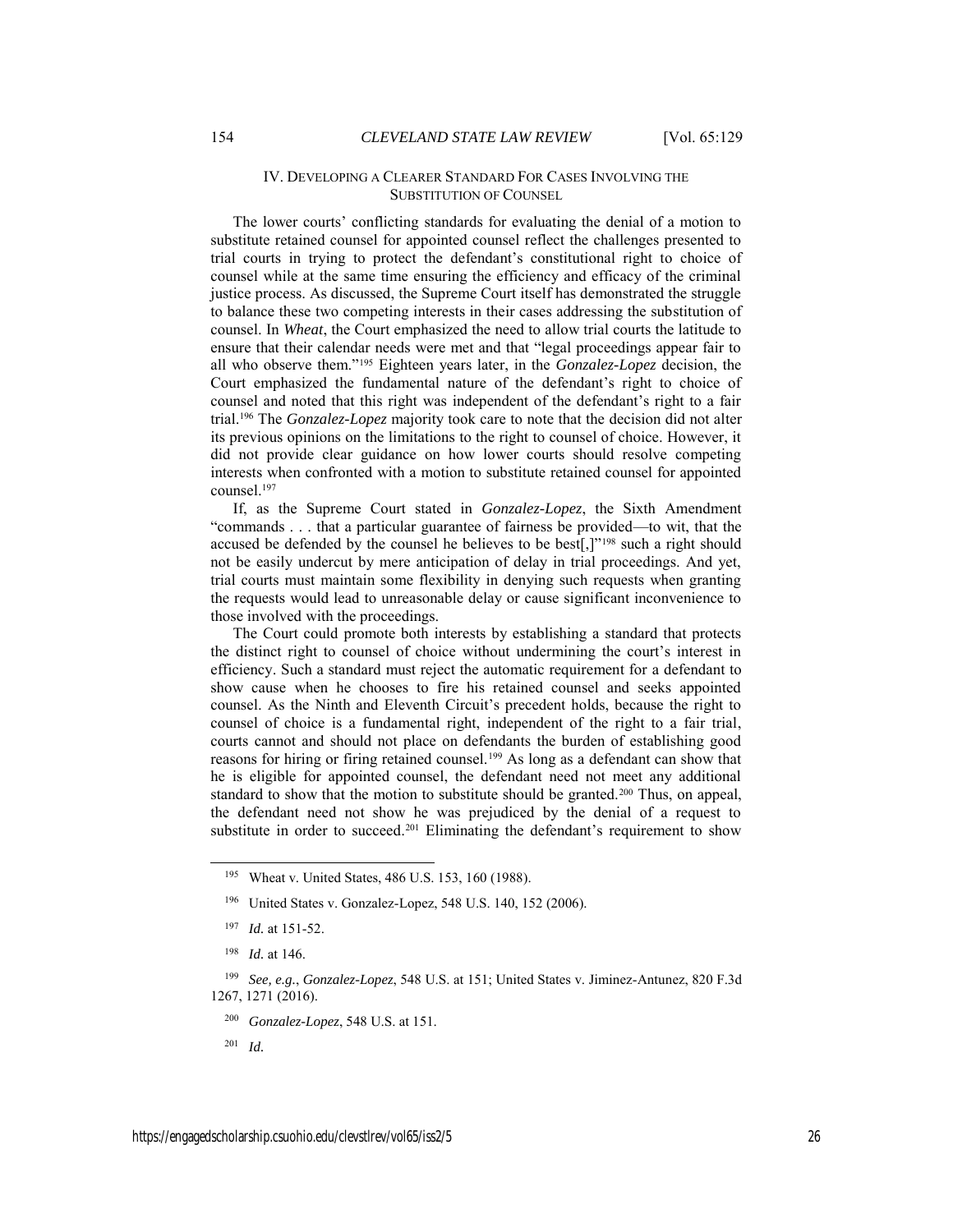#### IV. DEVELOPING A CLEARER STANDARD FOR CASES INVOLVING THE SUBSTITUTION OF COUNSEL

The lower courts' conflicting standards for evaluating the denial of a motion to substitute retained counsel for appointed counsel reflect the challenges presented to trial courts in trying to protect the defendant's constitutional right to choice of counsel while at the same time ensuring the efficiency and efficacy of the criminal justice process. As discussed, the Supreme Court itself has demonstrated the struggle to balance these two competing interests in their cases addressing the substitution of counsel. In *Wheat*, the Court emphasized the need to allow trial courts the latitude to ensure that their calendar needs were met and that "legal proceedings appear fair to all who observe them."<sup>195</sup> Eighteen years later, in the *Gonzalez-Lopez* decision, the Court emphasized the fundamental nature of the defendant's right to choice of counsel and noted that this right was independent of the defendant's right to a fair trial.<sup>196</sup> The *Gonzalez-Lopez* majority took care to note that the decision did not alter its previous opinions on the limitations to the right to counsel of choice. However, it did not provide clear guidance on how lower courts should resolve competing interests when confronted with a motion to substitute retained counsel for appointed counsel<sup>197</sup>

If, as the Supreme Court stated in *Gonzalez-Lopez*, the Sixth Amendment "commands . . . that a particular guarantee of fairness be provided—to wit, that the accused be defended by the counsel he believes to be best[,]"<sup>198</sup> such a right should not be easily undercut by mere anticipation of delay in trial proceedings. And yet, trial courts must maintain some flexibility in denying such requests when granting the requests would lead to unreasonable delay or cause significant inconvenience to those involved with the proceedings.

The Court could promote both interests by establishing a standard that protects the distinct right to counsel of choice without undermining the court's interest in efficiency. Such a standard must reject the automatic requirement for a defendant to show cause when he chooses to fire his retained counsel and seeks appointed counsel. As the Ninth and Eleventh Circuit's precedent holds, because the right to counsel of choice is a fundamental right, independent of the right to a fair trial, courts cannot and should not place on defendants the burden of establishing good reasons for hiring or firing retained counsel.<sup>199</sup> As long as a defendant can show that he is eligible for appointed counsel, the defendant need not meet any additional standard to show that the motion to substitute should be granted.<sup>200</sup> Thus, on appeal, the defendant need not show he was prejudiced by the denial of a request to substitute in order to succeed.<sup>201</sup> Eliminating the defendant's requirement to show

<sup>201</sup> *Id.*

 $\overline{a}$ 

<sup>195</sup> Wheat v. United States, 486 U.S. 153, 160 (1988).

<sup>196</sup> United States v. Gonzalez-Lopez, 548 U.S. 140, 152 (2006).

<sup>197</sup> *Id.* at 151-52.

<sup>198</sup> *Id.* at 146.

<sup>199</sup> *See, e.g.*, *Gonzalez-Lopez*, 548 U.S. at 151; United States v. Jiminez-Antunez, 820 F.3d 1267, 1271 (2016).

<sup>200</sup> *Gonzalez-Lopez*, 548 U.S. at 151.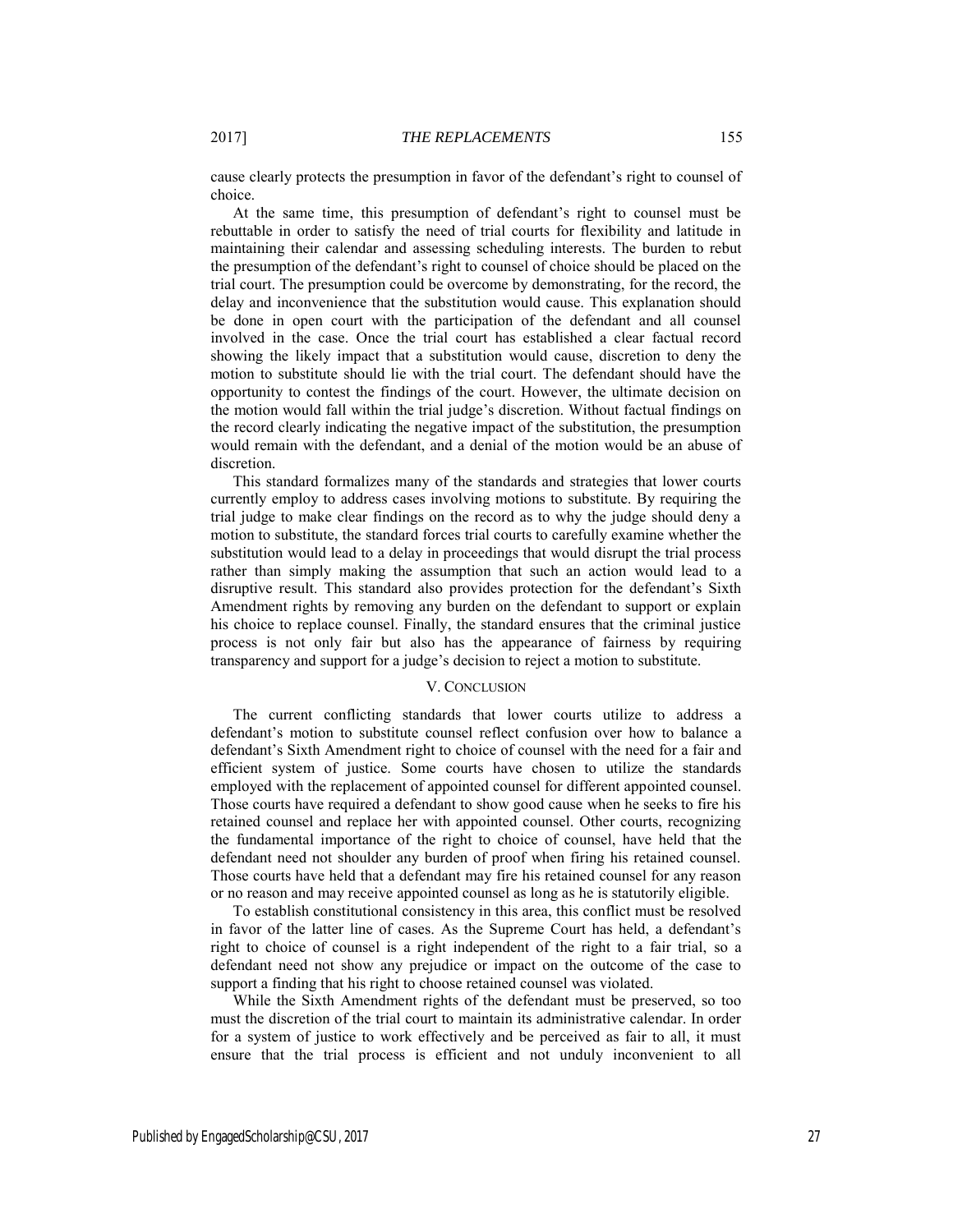cause clearly protects the presumption in favor of the defendant's right to counsel of choice.

At the same time, this presumption of defendant's right to counsel must be rebuttable in order to satisfy the need of trial courts for flexibility and latitude in maintaining their calendar and assessing scheduling interests. The burden to rebut the presumption of the defendant's right to counsel of choice should be placed on the trial court. The presumption could be overcome by demonstrating, for the record, the delay and inconvenience that the substitution would cause. This explanation should be done in open court with the participation of the defendant and all counsel involved in the case. Once the trial court has established a clear factual record showing the likely impact that a substitution would cause, discretion to deny the motion to substitute should lie with the trial court. The defendant should have the opportunity to contest the findings of the court. However, the ultimate decision on the motion would fall within the trial judge's discretion. Without factual findings on the record clearly indicating the negative impact of the substitution, the presumption would remain with the defendant, and a denial of the motion would be an abuse of discretion.

This standard formalizes many of the standards and strategies that lower courts currently employ to address cases involving motions to substitute. By requiring the trial judge to make clear findings on the record as to why the judge should deny a motion to substitute, the standard forces trial courts to carefully examine whether the substitution would lead to a delay in proceedings that would disrupt the trial process rather than simply making the assumption that such an action would lead to a disruptive result. This standard also provides protection for the defendant's Sixth Amendment rights by removing any burden on the defendant to support or explain his choice to replace counsel. Finally, the standard ensures that the criminal justice process is not only fair but also has the appearance of fairness by requiring transparency and support for a judge's decision to reject a motion to substitute.

#### V. CONCLUSION

The current conflicting standards that lower courts utilize to address a defendant's motion to substitute counsel reflect confusion over how to balance a defendant's Sixth Amendment right to choice of counsel with the need for a fair and efficient system of justice. Some courts have chosen to utilize the standards employed with the replacement of appointed counsel for different appointed counsel. Those courts have required a defendant to show good cause when he seeks to fire his retained counsel and replace her with appointed counsel. Other courts, recognizing the fundamental importance of the right to choice of counsel, have held that the defendant need not shoulder any burden of proof when firing his retained counsel. Those courts have held that a defendant may fire his retained counsel for any reason or no reason and may receive appointed counsel as long as he is statutorily eligible.

To establish constitutional consistency in this area, this conflict must be resolved in favor of the latter line of cases. As the Supreme Court has held, a defendant's right to choice of counsel is a right independent of the right to a fair trial, so a defendant need not show any prejudice or impact on the outcome of the case to support a finding that his right to choose retained counsel was violated.

While the Sixth Amendment rights of the defendant must be preserved, so too must the discretion of the trial court to maintain its administrative calendar. In order for a system of justice to work effectively and be perceived as fair to all, it must ensure that the trial process is efficient and not unduly inconvenient to all